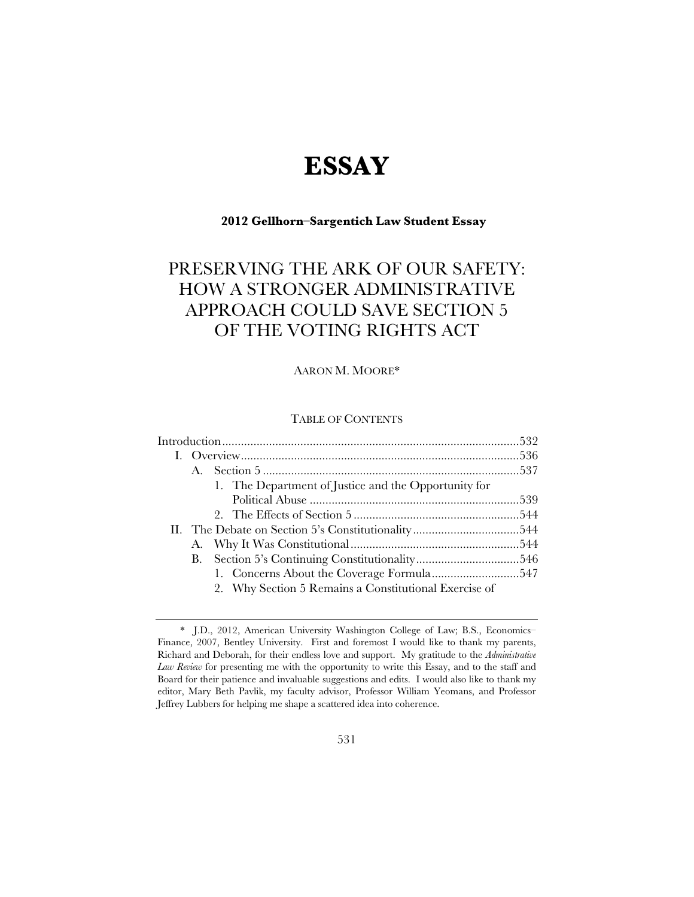# **ESSAY**

# **2012 Gellhorn–Sargentich Law Student Essay**

# PRESERVING THE ARK OF OUR SAFETY: HOW A STRONGER ADMINISTRATIVE APPROACH COULD SAVE SECTION 5 OF THE VOTING RIGHTS ACT

AARON M. MOORE\*

# TABLE OF CONTENTS

|  |    | 1. The Department of Justice and the Opportunity for  |  |
|--|----|-------------------------------------------------------|--|
|  |    |                                                       |  |
|  |    |                                                       |  |
|  |    |                                                       |  |
|  |    |                                                       |  |
|  | В. |                                                       |  |
|  |    |                                                       |  |
|  |    | 2. Why Section 5 Remains a Constitutional Exercise of |  |
|  |    |                                                       |  |

 <sup>\*</sup> J.D., 2012, American University Washington College of Law; B.S., Economics– Finance, 2007, Bentley University. First and foremost I would like to thank my parents, Richard and Deborah, for their endless love and support. My gratitude to the *Administrative Law Review* for presenting me with the opportunity to write this Essay, and to the staff and Board for their patience and invaluable suggestions and edits. I would also like to thank my editor, Mary Beth Pavlik, my faculty advisor, Professor William Yeomans, and Professor Jeffrey Lubbers for helping me shape a scattered idea into coherence.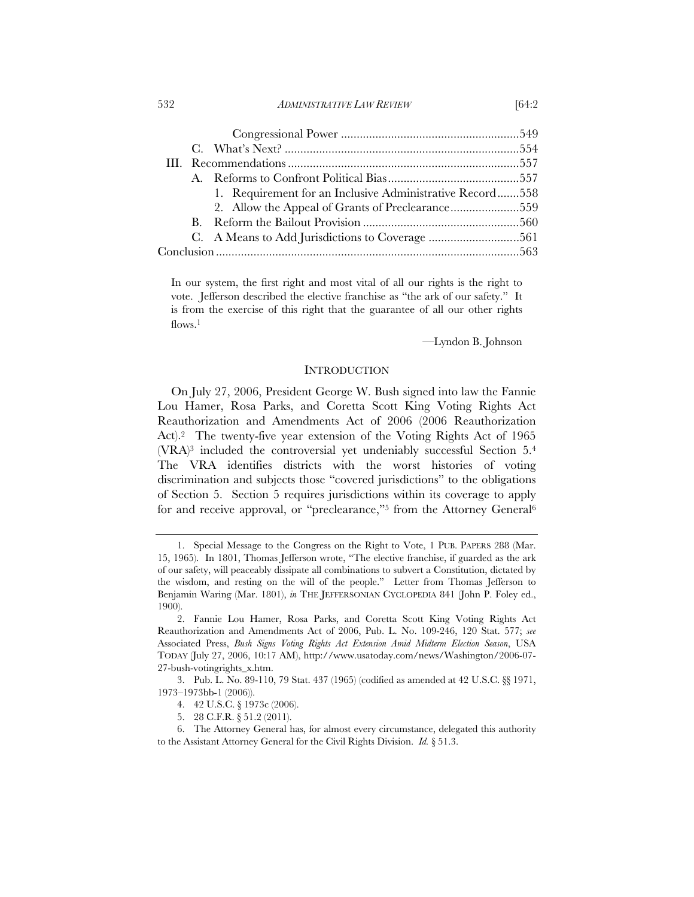#### 532 *ADMINISTRATIVE LAW REVIEW* [64:2

|  |  | 1. Requirement for an Inclusive Administrative Record558 |  |  |
|--|--|----------------------------------------------------------|--|--|
|  |  |                                                          |  |  |
|  |  |                                                          |  |  |
|  |  |                                                          |  |  |
|  |  |                                                          |  |  |

In our system, the first right and most vital of all our rights is the right to vote. Jefferson described the elective franchise as "the ark of our safety." It is from the exercise of this right that the guarantee of all our other rights flows.<sup>1</sup>

—Lyndon B. Johnson

#### INTRODUCTION

On July 27, 2006, President George W. Bush signed into law the Fannie Lou Hamer, Rosa Parks, and Coretta Scott King Voting Rights Act Reauthorization and Amendments Act of 2006 (2006 Reauthorization Act).2 The twenty-five year extension of the Voting Rights Act of 1965 (VRA)3 included the controversial yet undeniably successful Section 5.4 The VRA identifies districts with the worst histories of voting discrimination and subjects those "covered jurisdictions" to the obligations of Section 5. Section 5 requires jurisdictions within its coverage to apply for and receive approval, or "preclearance,"<sup>5</sup> from the Attorney General<sup>6</sup>

 <sup>1.</sup> Special Message to the Congress on the Right to Vote, 1 PUB. PAPERS 288 (Mar. 15, 1965). In 1801, Thomas Jefferson wrote, "The elective franchise, if guarded as the ark of our safety, will peaceably dissipate all combinations to subvert a Constitution, dictated by the wisdom, and resting on the will of the people." Letter from Thomas Jefferson to Benjamin Waring (Mar. 1801), *in* THE JEFFERSONIAN CYCLOPEDIA 841 (John P. Foley ed., 1900).

 <sup>2.</sup> Fannie Lou Hamer, Rosa Parks, and Coretta Scott King Voting Rights Act Reauthorization and Amendments Act of 2006, Pub. L. No. 109-246, 120 Stat. 577; *see* Associated Press, *Bush Signs Voting Rights Act Extension Amid Midterm Election Season*, USA TODAY (July 27, 2006, 10:17 AM), http://www.usatoday.com/news/Washington/2006-07- 27-bush-votingrights\_x.htm.

 <sup>3.</sup> Pub. L. No. 89-110, 79 Stat. 437 (1965) (codified as amended at 42 U.S.C. §§ 1971, 1973–1973bb-1 (2006)).

 <sup>4. 42</sup> U.S.C. § 1973c (2006).

 <sup>5. 28</sup> C.F.R. § 51.2 (2011).

 <sup>6.</sup> The Attorney General has, for almost every circumstance, delegated this authority to the Assistant Attorney General for the Civil Rights Division. *Id.* § 51.3.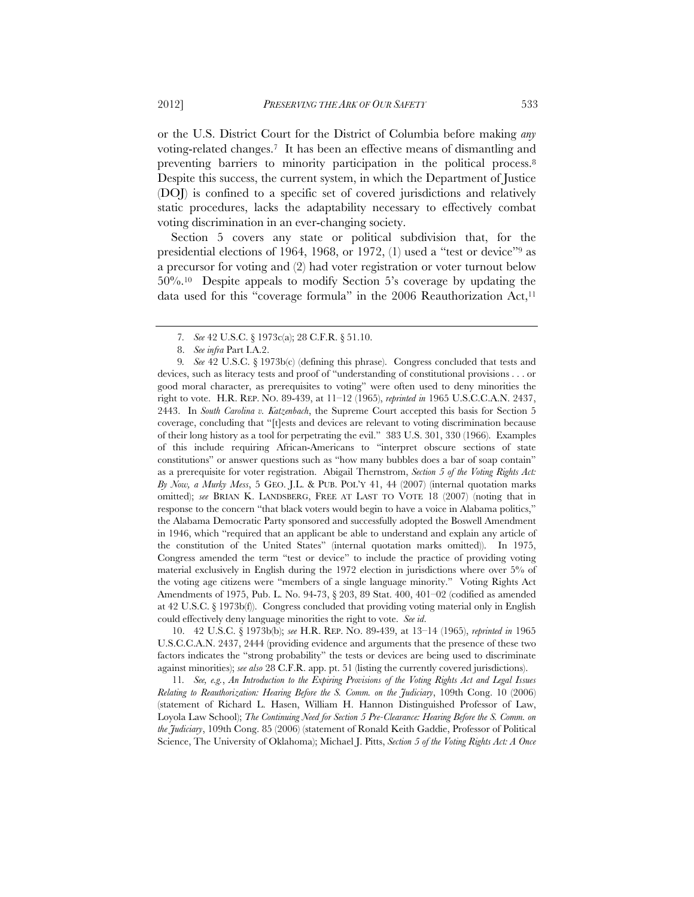or the U.S. District Court for the District of Columbia before making *any* voting-related changes.7 It has been an effective means of dismantling and preventing barriers to minority participation in the political process.8 Despite this success, the current system, in which the Department of Justice (DOJ) is confined to a specific set of covered jurisdictions and relatively static procedures, lacks the adaptability necessary to effectively combat voting discrimination in an ever-changing society.

Section 5 covers any state or political subdivision that, for the presidential elections of 1964, 1968, or 1972, (1) used a "test or device"9 as a precursor for voting and (2) had voter registration or voter turnout below 50%.10 Despite appeals to modify Section 5's coverage by updating the data used for this "coverage formula" in the 2006 Reauthorization Act,11

 10. 42 U.S.C. § 1973b(b); *see* H.R. REP. NO. 89-439, at 13–14 (1965), *reprinted in* 1965 U.S.C.C.A.N. 2437, 2444 (providing evidence and arguments that the presence of these two factors indicates the "strong probability" the tests or devices are being used to discriminate against minorities); *see also* 28 C.F.R. app. pt. 51 (listing the currently covered jurisdictions).

11*. See, e.g.*, *An Introduction to the Expiring Provisions of the Voting Rights Act and Legal Issues Relating to Reauthorization: Hearing Before the S. Comm. on the Judiciary*, 109th Cong. 10 (2006) (statement of Richard L. Hasen, William H. Hannon Distinguished Professor of Law, Loyola Law School); *The Continuing Need for Section 5 Pre-Clearance: Hearing Before the S. Comm. on the Judiciary*, 109th Cong. 85 (2006) (statement of Ronald Keith Gaddie, Professor of Political Science, The University of Oklahoma); Michael J. Pitts, *Section 5 of the Voting Rights Act: A Once* 

<sup>7</sup>*. See* 42 U.S.C. § 1973c(a); 28 C.F.R. § 51.10.

 <sup>8.</sup> *See infra* Part I.A.2.

<sup>9</sup>*. See* 42 U.S.C. § 1973b(c) (defining this phrase). Congress concluded that tests and devices, such as literacy tests and proof of "understanding of constitutional provisions . . . or good moral character, as prerequisites to voting" were often used to deny minorities the right to vote. H.R. REP. NO. 89-439, at 11–12 (1965), *reprinted in* 1965 U.S.C.C.A.N. 2437, 2443. In *South Carolina v. Katzenbach*, the Supreme Court accepted this basis for Section 5 coverage, concluding that "[t]ests and devices are relevant to voting discrimination because of their long history as a tool for perpetrating the evil." 383 U.S. 301, 330 (1966). Examples of this include requiring African-Americans to "interpret obscure sections of state constitutions" or answer questions such as "how many bubbles does a bar of soap contain" as a prerequisite for voter registration. Abigail Thernstrom, *Section 5 of the Voting Rights Act: By Now, a Murky Mess*, 5 GEO. J.L. & PUB. POL'Y 41, 44 (2007) (internal quotation marks omitted); *see* BRIAN K. LANDSBERG, FREE AT LAST TO VOTE 18 (2007) (noting that in response to the concern "that black voters would begin to have a voice in Alabama politics," the Alabama Democratic Party sponsored and successfully adopted the Boswell Amendment in 1946, which "required that an applicant be able to understand and explain any article of the constitution of the United States" (internal quotation marks omitted)). In 1975, Congress amended the term "test or device" to include the practice of providing voting material exclusively in English during the 1972 election in jurisdictions where over 5% of the voting age citizens were "members of a single language minority." Voting Rights Act Amendments of 1975, Pub. L. No. 94-73, § 203, 89 Stat. 400, 401–02 (codified as amended at 42 U.S.C. § 1973b(f)). Congress concluded that providing voting material only in English could effectively deny language minorities the right to vote. *See id*.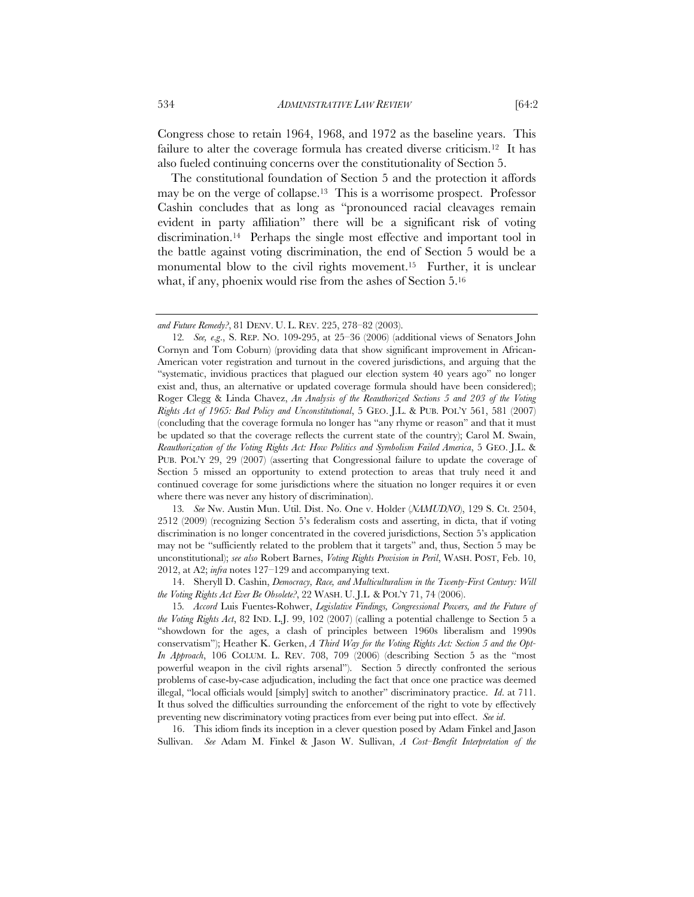Congress chose to retain 1964, 1968, and 1972 as the baseline years. This failure to alter the coverage formula has created diverse criticism.<sup>12</sup> It has also fueled continuing concerns over the constitutionality of Section 5.

The constitutional foundation of Section 5 and the protection it affords may be on the verge of collapse.13 This is a worrisome prospect. Professor Cashin concludes that as long as "pronounced racial cleavages remain evident in party affiliation" there will be a significant risk of voting discrimination.14 Perhaps the single most effective and important tool in the battle against voting discrimination, the end of Section 5 would be a monumental blow to the civil rights movement.<sup>15</sup> Further, it is unclear what, if any, phoenix would rise from the ashes of Section 5.16

13*. See* Nw. Austin Mun. Util. Dist. No. One v. Holder (*NAMUDNO*), 129 S. Ct. 2504, 2512 (2009) (recognizing Section 5's federalism costs and asserting, in dicta, that if voting discrimination is no longer concentrated in the covered jurisdictions, Section 5's application may not be "sufficiently related to the problem that it targets" and, thus, Section 5 may be unconstitutional); *see also* Robert Barnes, *Voting Rights Provision in Peril*, WASH. POST, Feb. 10, 2012, at A2; *infra* notes 127–129 and accompanying text.

 14. Sheryll D. Cashin, *Democracy, Race, and Multiculturalism in the Twenty-First Century: Will the Voting Rights Act Ever Be Obsolete?*, 22 WASH. U. J.L & POL'Y 71, 74 (2006).

15*. Accord* Luis Fuentes-Rohwer, *Legislative Findings, Congressional Powers, and the Future of the Voting Rights Act*, 82 IND. L.J. 99, 102 (2007) (calling a potential challenge to Section 5 a "showdown for the ages, a clash of principles between 1960s liberalism and 1990s conservatism"); Heather K. Gerken, *A Third Way for the Voting Rights Act: Section 5 and the Opt-In Approach*, 106 COLUM. L. REV. 708, 709 (2006) (describing Section 5 as the "most powerful weapon in the civil rights arsenal"). Section 5 directly confronted the serious problems of case-by-case adjudication, including the fact that once one practice was deemed illegal, "local officials would [simply] switch to another" discriminatory practice. *Id*. at 711. It thus solved the difficulties surrounding the enforcement of the right to vote by effectively preventing new discriminatory voting practices from ever being put into effect. *See id*.

 16. This idiom finds its inception in a clever question posed by Adam Finkel and Jason Sullivan. *See* Adam M. Finkel & Jason W. Sullivan, *A Cost–Benefit Interpretation of the* 

*and Future Remedy?*, 81 DENV. U. L. REV. 225, 278–82 (2003).

<sup>12</sup>*. See, e*.*g*., S. REP. NO. 109-295, at 25–36 (2006) (additional views of Senators John Cornyn and Tom Coburn) (providing data that show significant improvement in African-American voter registration and turnout in the covered jurisdictions, and arguing that the "systematic, invidious practices that plagued our election system 40 years ago" no longer exist and, thus, an alternative or updated coverage formula should have been considered); Roger Clegg & Linda Chavez, *An Analysis of the Reauthorized Sections 5 and 203 of the Voting Rights Act of 1965: Bad Policy and Unconstitutional*, 5 GEO. J.L. & PUB. POL'Y 561, 581 (2007) (concluding that the coverage formula no longer has "any rhyme or reason" and that it must be updated so that the coverage reflects the current state of the country); Carol M. Swain, *Reauthorization of the Voting Rights Act: How Politics and Symbolism Failed America*, 5 GEO. J.L. & PUB. POL'Y 29, 29 (2007) (asserting that Congressional failure to update the coverage of Section 5 missed an opportunity to extend protection to areas that truly need it and continued coverage for some jurisdictions where the situation no longer requires it or even where there was never any history of discrimination).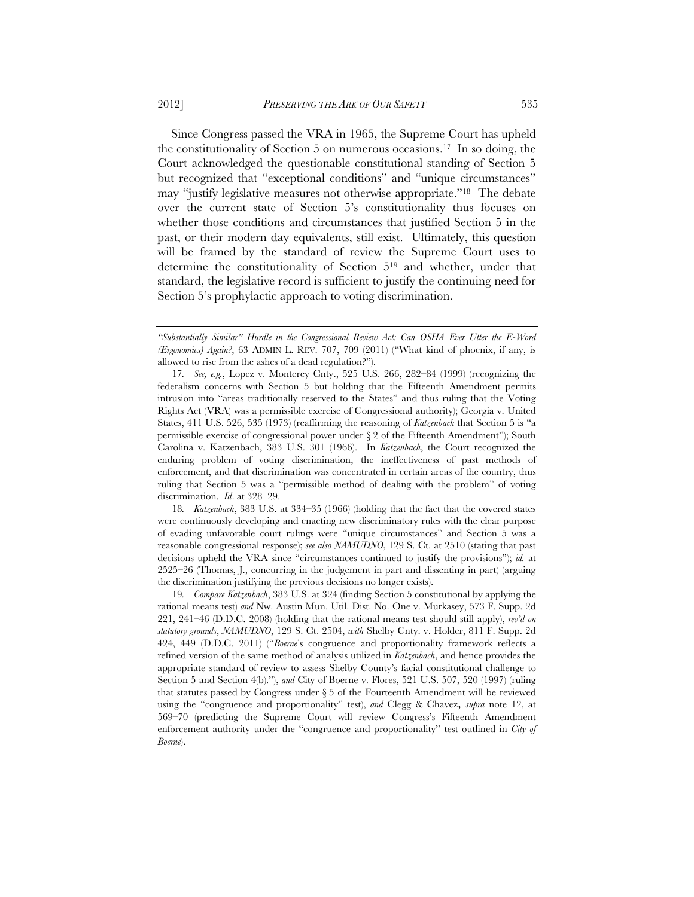Since Congress passed the VRA in 1965, the Supreme Court has upheld the constitutionality of Section 5 on numerous occasions.17 In so doing, the Court acknowledged the questionable constitutional standing of Section 5 but recognized that "exceptional conditions" and "unique circumstances" may "justify legislative measures not otherwise appropriate."18 The debate over the current state of Section 5's constitutionality thus focuses on whether those conditions and circumstances that justified Section 5 in the past, or their modern day equivalents, still exist. Ultimately, this question will be framed by the standard of review the Supreme Court uses to determine the constitutionality of Section 519 and whether, under that standard, the legislative record is sufficient to justify the continuing need for Section 5's prophylactic approach to voting discrimination.

18*. Katzenbach*, 383 U.S. at 334–35 (1966) (holding that the fact that the covered states were continuously developing and enacting new discriminatory rules with the clear purpose of evading unfavorable court rulings were "unique circumstances" and Section 5 was a reasonable congressional response); *see also NAMUDNO*, 129 S. Ct. at 2510 (stating that past decisions upheld the VRA since "circumstances continued to justify the provisions"); *id.* at 2525–26 (Thomas, J., concurring in the judgement in part and dissenting in part) (arguing the discrimination justifying the previous decisions no longer exists).

19*. Compare Katzenbach*, 383 U.S. at 324 (finding Section 5 constitutional by applying the rational means test) *and* Nw. Austin Mun. Util. Dist. No. One v. Murkasey, 573 F. Supp. 2d 221, 241–46 (D.D.C. 2008) (holding that the rational means test should still apply), *rev'd on statutory grounds*, *NAMUDNO*, 129 S. Ct. 2504, *with* Shelby Cnty. v. Holder, 811 F. Supp. 2d 424, 449 (D.D.C. 2011) ("*Boerne*'s congruence and proportionality framework reflects a refined version of the same method of analysis utilized in *Katzenbach*, and hence provides the appropriate standard of review to assess Shelby County's facial constitutional challenge to Section 5 and Section 4(b)."), *and* City of Boerne v. Flores, 521 U.S. 507, 520 (1997) (ruling that statutes passed by Congress under § 5 of the Fourteenth Amendment will be reviewed using the "congruence and proportionality" test), *and* Clegg & Chavez*, supra* note 12, at 569–70 (predicting the Supreme Court will review Congress's Fifteenth Amendment enforcement authority under the "congruence and proportionality" test outlined in *City of Boerne*).

*<sup>&</sup>quot;Substantially Similar" Hurdle in the Congressional Review Act: Can OSHA Ever Utter the E-Word (Ergonomics) Again?*, 63 ADMIN L. REV. 707, 709 (2011) ("What kind of phoenix, if any, is allowed to rise from the ashes of a dead regulation?").

<sup>17</sup>*. See, e.g.*, Lopez v. Monterey Cnty., 525 U.S. 266, 282–84 (1999) (recognizing the federalism concerns with Section 5 but holding that the Fifteenth Amendment permits intrusion into "areas traditionally reserved to the States" and thus ruling that the Voting Rights Act (VRA) was a permissible exercise of Congressional authority); Georgia v. United States, 411 U.S. 526, 535 (1973) (reaffirming the reasoning of *Katzenbach* that Section 5 is "a permissible exercise of congressional power under  $\S 2$  of the Fifteenth Amendment"); South Carolina v. Katzenbach, 383 U.S. 301 (1966). In *Katzenbach*, the Court recognized the enduring problem of voting discrimination, the ineffectiveness of past methods of enforcement, and that discrimination was concentrated in certain areas of the country, thus ruling that Section 5 was a "permissible method of dealing with the problem" of voting discrimination. *Id*. at 328–29.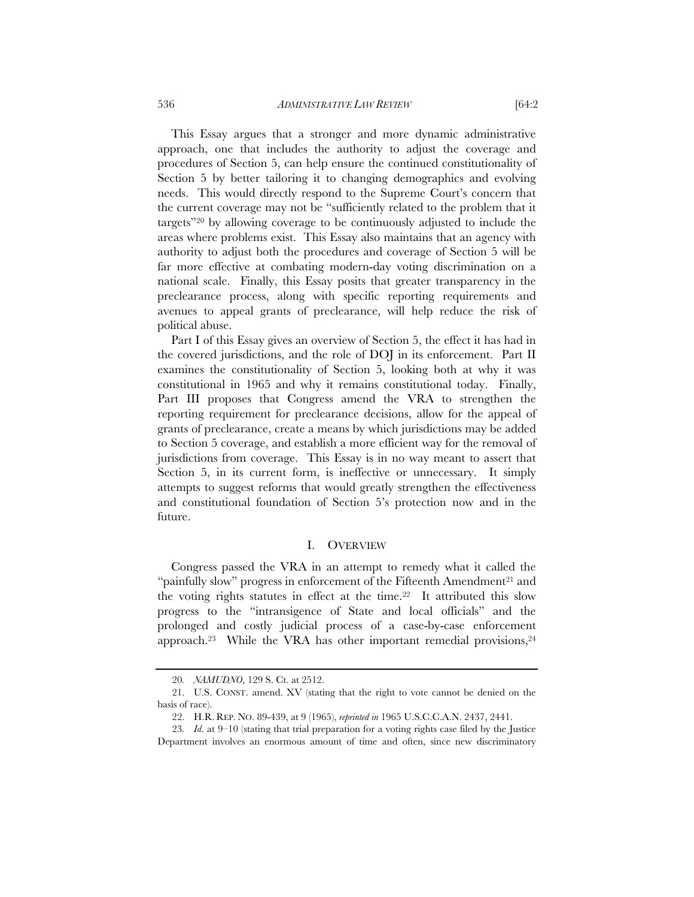536 *ADMINISTRATIVE LAW REVIEW* [64:2

This Essay argues that a stronger and more dynamic administrative approach, one that includes the authority to adjust the coverage and procedures of Section 5, can help ensure the continued constitutionality of Section 5 by better tailoring it to changing demographics and evolving needs. This would directly respond to the Supreme Court's concern that the current coverage may not be "sufficiently related to the problem that it targets"20 by allowing coverage to be continuously adjusted to include the areas where problems exist. This Essay also maintains that an agency with authority to adjust both the procedures and coverage of Section 5 will be far more effective at combating modern-day voting discrimination on a national scale. Finally, this Essay posits that greater transparency in the preclearance process, along with specific reporting requirements and avenues to appeal grants of preclearance, will help reduce the risk of political abuse.

Part I of this Essay gives an overview of Section 5, the effect it has had in the covered jurisdictions, and the role of DOJ in its enforcement. Part II examines the constitutionality of Section 5, looking both at why it was constitutional in 1965 and why it remains constitutional today. Finally, Part III proposes that Congress amend the VRA to strengthen the reporting requirement for preclearance decisions, allow for the appeal of grants of preclearance, create a means by which jurisdictions may be added to Section 5 coverage, and establish a more efficient way for the removal of jurisdictions from coverage. This Essay is in no way meant to assert that Section 5, in its current form, is ineffective or unnecessary. It simply attempts to suggest reforms that would greatly strengthen the effectiveness and constitutional foundation of Section 5's protection now and in the future.

#### I. OVERVIEW

Congress passed the VRA in an attempt to remedy what it called the "painfully slow" progress in enforcement of the Fifteenth Amendment<sup>21</sup> and the voting rights statutes in effect at the time.<sup>22</sup> It attributed this slow progress to the "intransigence of State and local officials" and the prolonged and costly judicial process of a case-by-case enforcement approach.<sup>23</sup> While the VRA has other important remedial provisions, $24$ 

<sup>20</sup>*. NAMUDNO*, 129 S. Ct. at 2512.

 <sup>21.</sup> U.S. CONST. amend. XV (stating that the right to vote cannot be denied on the basis of race).

 <sup>22.</sup> H.R. REP. NO. 89-439, at 9 (1965), *reprinted in* 1965 U.S.C.C.A.N. 2437, 2441.

<sup>23</sup>*. Id*. at 9–10 (stating that trial preparation for a voting rights case filed by the Justice Department involves an enormous amount of time and often, since new discriminatory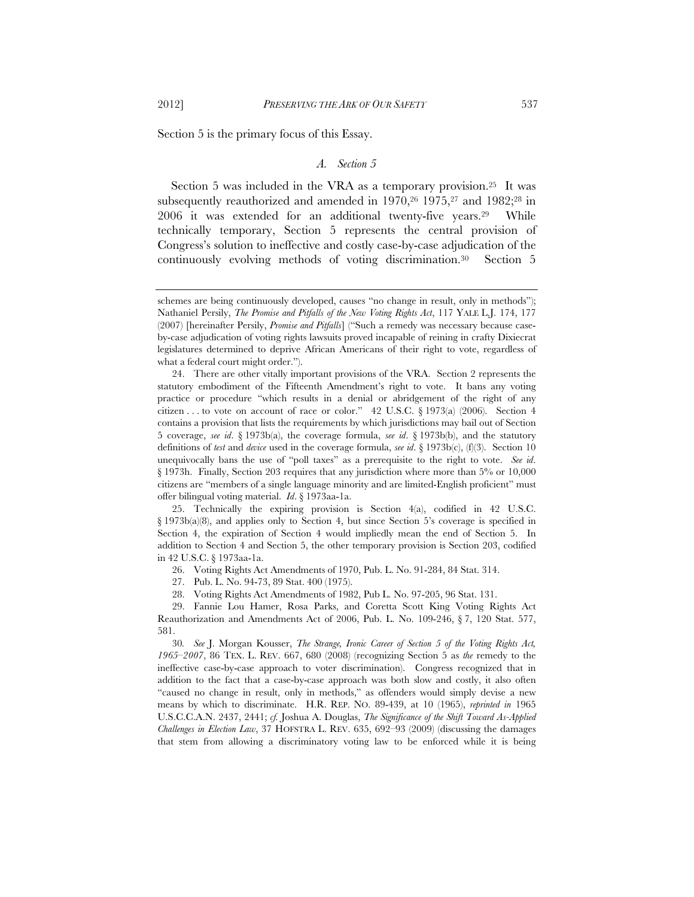Section 5 is the primary focus of this Essay.

#### *A. Section 5*

Section 5 was included in the VRA as a temporary provision.25 It was subsequently reauthorized and amended in  $1970$ ,  $26$   $1975$ ,  $27$  and  $1982$ ;  $28$  in 2006 it was extended for an additional twenty-five years.29 While technically temporary, Section 5 represents the central provision of Congress's solution to ineffective and costly case-by-case adjudication of the continuously evolving methods of voting discrimination.30 Section 5

 25. Technically the expiring provision is Section 4(a), codified in 42 U.S.C. § 1973b(a)(8), and applies only to Section 4, but since Section 5's coverage is specified in Section 4, the expiration of Section 4 would impliedly mean the end of Section 5. In addition to Section 4 and Section 5, the other temporary provision is Section 203, codified in 42 U.S.C. § 1973aa-1a.

26. Voting Rights Act Amendments of 1970, Pub. L. No. 91-284, 84 Stat. 314.

27. Pub. L. No. 94-73, 89 Stat. 400 (1975).

28. Voting Rights Act Amendments of 1982, Pub L. No. 97-205, 96 Stat. 131.

 29. Fannie Lou Hamer, Rosa Parks, and Coretta Scott King Voting Rights Act Reauthorization and Amendments Act of 2006, Pub. L. No. 109-246, § 7, 120 Stat. 577, 581.

30*. See* J. Morgan Kousser, *The Strange, Ironic Career of Section 5 of the Voting Rights Act, 1965–2007*, 86 TEX. L. REV. 667, 680 (2008) (recognizing Section 5 as *the* remedy to the ineffective case-by-case approach to voter discrimination). Congress recognized that in addition to the fact that a case-by-case approach was both slow and costly, it also often "caused no change in result, only in methods," as offenders would simply devise a new means by which to discriminate. H.R. REP. NO. 89-439, at 10 (1965), *reprinted in* 1965 U.S.C.C.A.N. 2437, 2441; *cf.* Joshua A. Douglas, *The Significance of the Shift Toward As-Applied Challenges in Election Law*, 37 HOFSTRA L. REV. 635, 692–93 (2009) (discussing the damages that stem from allowing a discriminatory voting law to be enforced while it is being

schemes are being continuously developed, causes "no change in result, only in methods"); Nathaniel Persily, *The Promise and Pitfalls of the New Voting Rights Act*, 117 YALE L.J. 174, 177 (2007) [hereinafter Persily, *Promise and Pitfalls*] ("Such a remedy was necessary because caseby-case adjudication of voting rights lawsuits proved incapable of reining in crafty Dixiecrat legislatures determined to deprive African Americans of their right to vote, regardless of what a federal court might order.").

 <sup>24.</sup> There are other vitally important provisions of the VRA. Section 2 represents the statutory embodiment of the Fifteenth Amendment's right to vote. It bans any voting practice or procedure "which results in a denial or abridgement of the right of any citizen . . . to vote on account of race or color." 42 U.S.C. § 1973(a) (2006). Section 4 contains a provision that lists the requirements by which jurisdictions may bail out of Section 5 coverage, *see id*. § 1973b(a), the coverage formula, *see id*. § 1973b(b), and the statutory definitions of *test* and *device* used in the coverage formula, *see id*. § 1973b(c), (f)(3). Section 10 unequivocally bans the use of "poll taxes" as a prerequisite to the right to vote. *See id*. § 1973h. Finally, Section 203 requires that any jurisdiction where more than 5% or 10,000 citizens are "members of a single language minority and are limited-English proficient" must offer bilingual voting material. *Id*. § 1973aa-1a.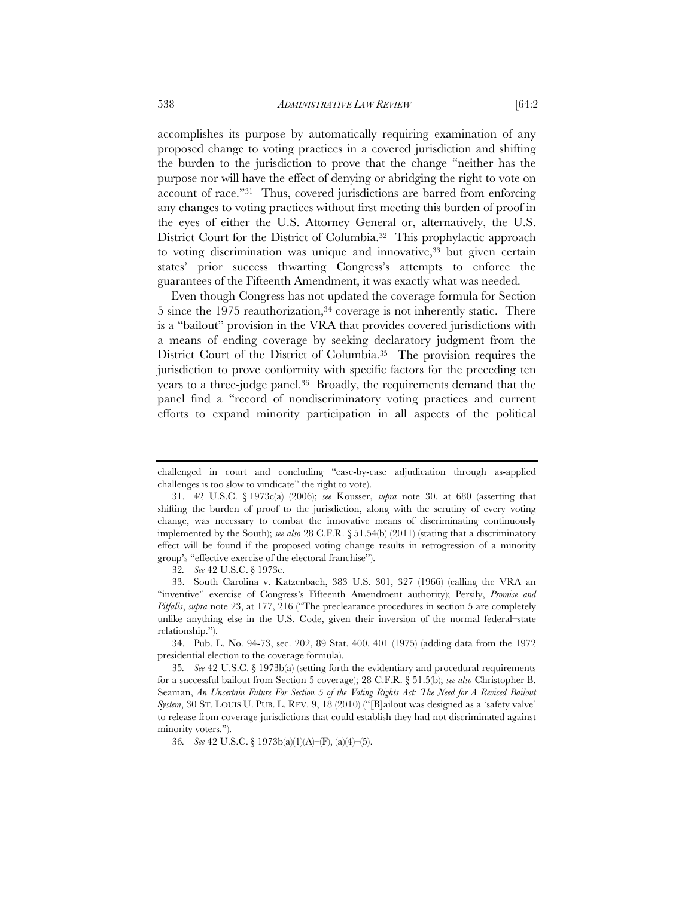accomplishes its purpose by automatically requiring examination of any proposed change to voting practices in a covered jurisdiction and shifting the burden to the jurisdiction to prove that the change "neither has the purpose nor will have the effect of denying or abridging the right to vote on account of race."31 Thus, covered jurisdictions are barred from enforcing any changes to voting practices without first meeting this burden of proof in the eyes of either the U.S. Attorney General or, alternatively, the U.S. District Court for the District of Columbia.<sup>32</sup> This prophylactic approach to voting discrimination was unique and innovative,<sup>33</sup> but given certain states' prior success thwarting Congress's attempts to enforce the guarantees of the Fifteenth Amendment, it was exactly what was needed.

Even though Congress has not updated the coverage formula for Section 5 since the 1975 reauthorization, $34$  coverage is not inherently static. There is a "bailout" provision in the VRA that provides covered jurisdictions with a means of ending coverage by seeking declaratory judgment from the District Court of the District of Columbia.<sup>35</sup> The provision requires the jurisdiction to prove conformity with specific factors for the preceding ten years to a three-judge panel.36 Broadly, the requirements demand that the panel find a "record of nondiscriminatory voting practices and current efforts to expand minority participation in all aspects of the political

32*. See* 42 U.S.C. § 1973c.

 33. South Carolina v. Katzenbach, 383 U.S. 301, 327 (1966) (calling the VRA an "inventive" exercise of Congress's Fifteenth Amendment authority); Persily, *Promise and Pitfalls*, *supra* note 23, at 177, 216 ("The preclearance procedures in section 5 are completely unlike anything else in the U.S. Code, given their inversion of the normal federal–state relationship.").

 34. Pub. L. No. 94-73, sec. 202, 89 Stat. 400, 401 (1975) (adding data from the 1972 presidential election to the coverage formula).

35*. See* 42 U.S.C. § 1973b(a) (setting forth the evidentiary and procedural requirements for a successful bailout from Section 5 coverage); 28 C.F.R. § 51.5(b); *see also* Christopher B. Seaman, *An Uncertain Future For Section 5 of the Voting Rights Act: The Need for A Revised Bailout System*, 30 ST. LOUIS U. PUB. L. REV. 9, 18 (2010) ("[B]ailout was designed as a 'safety valve' to release from coverage jurisdictions that could establish they had not discriminated against minority voters.").

36*. See* 42 U.S.C. § 1973b(a)(1)(A)–(F), (a)(4)–(5).

challenged in court and concluding "case-by-case adjudication through as-applied challenges is too slow to vindicate" the right to vote).

 <sup>31. 42</sup> U.S.C. § 1973c(a) (2006); *see* Kousser, *supra* note 30, at 680 (asserting that shifting the burden of proof to the jurisdiction, along with the scrutiny of every voting change, was necessary to combat the innovative means of discriminating continuously implemented by the South); *see also* 28 C.F.R. § 51.54(b) (2011) (stating that a discriminatory effect will be found if the proposed voting change results in retrogression of a minority group's "effective exercise of the electoral franchise").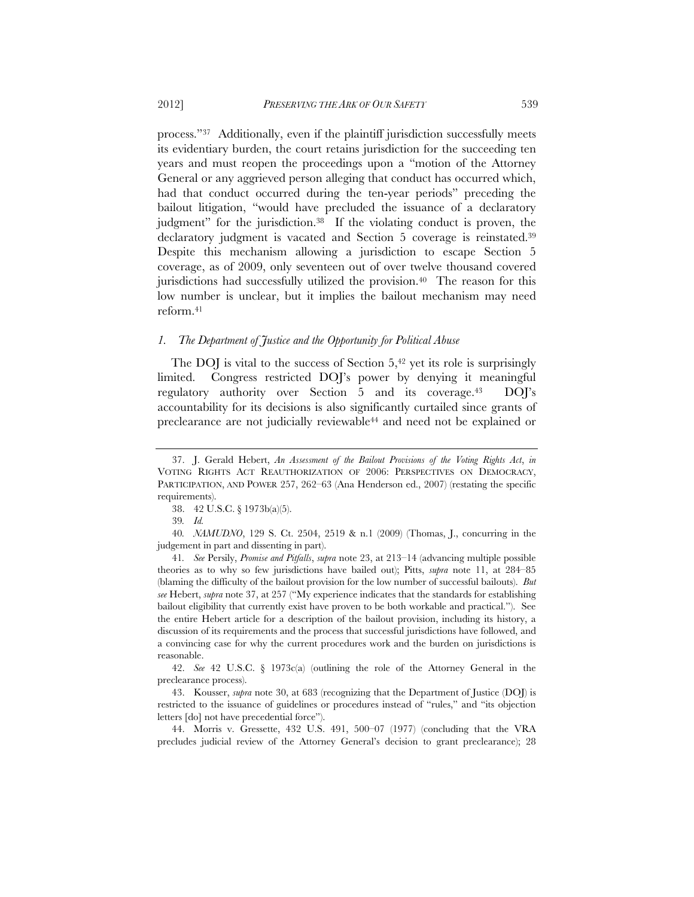process."37 Additionally, even if the plaintiff jurisdiction successfully meets its evidentiary burden, the court retains jurisdiction for the succeeding ten years and must reopen the proceedings upon a "motion of the Attorney General or any aggrieved person alleging that conduct has occurred which, had that conduct occurred during the ten-year periods" preceding the bailout litigation, "would have precluded the issuance of a declaratory judgment" for the jurisdiction.38 If the violating conduct is proven, the declaratory judgment is vacated and Section 5 coverage is reinstated.39 Despite this mechanism allowing a jurisdiction to escape Section 5 coverage, as of 2009, only seventeen out of over twelve thousand covered jurisdictions had successfully utilized the provision.40 The reason for this low number is unclear, but it implies the bailout mechanism may need reform.41

#### *1. The Department of Justice and the Opportunity for Political Abuse*

The DOJ is vital to the success of Section  $5,42$  yet its role is surprisingly limited. Congress restricted DOJ's power by denying it meaningful regulatory authority over Section 5 and its coverage.43 DOJ's accountability for its decisions is also significantly curtailed since grants of preclearance are not judicially reviewable44 and need not be explained or

40*. NAMUDNO*, 129 S. Ct. 2504, 2519 & n.1 (2009) (Thomas, J., concurring in the judgement in part and dissenting in part).

41*. See* Persily, *Promise and Pitfalls*, *supra* note 23, at 213–14 (advancing multiple possible theories as to why so few jurisdictions have bailed out); Pitts, *supra* note 11, at 284–85 (blaming the difficulty of the bailout provision for the low number of successful bailouts). *But see* Hebert, *supra* note 37, at 257 ("My experience indicates that the standards for establishing bailout eligibility that currently exist have proven to be both workable and practical."). See the entire Hebert article for a description of the bailout provision, including its history, a discussion of its requirements and the process that successful jurisdictions have followed, and a convincing case for why the current procedures work and the burden on jurisdictions is reasonable.

 42. *See* 42 U.S.C. § 1973c(a) (outlining the role of the Attorney General in the preclearance process).

 43. Kousser, *supra* note 30, at 683 (recognizing that the Department of Justice (DOJ) is restricted to the issuance of guidelines or procedures instead of "rules," and "its objection letters [do] not have precedential force").

 44. Morris v. Gressette, 432 U.S. 491, 500–07 (1977) (concluding that the VRA precludes judicial review of the Attorney General's decision to grant preclearance); 28

 <sup>37.</sup> J. Gerald Hebert, *An Assessment of the Bailout Provisions of the Voting Rights Act*, *in* VOTING RIGHTS ACT REAUTHORIZATION OF 2006: PERSPECTIVES ON DEMOCRACY, PARTICIPATION, AND POWER 257, 262-63 (Ana Henderson ed., 2007) (restating the specific requirements).

 <sup>38. 42</sup> U.S.C. § 1973b(a)(5).

<sup>39</sup>*. Id.*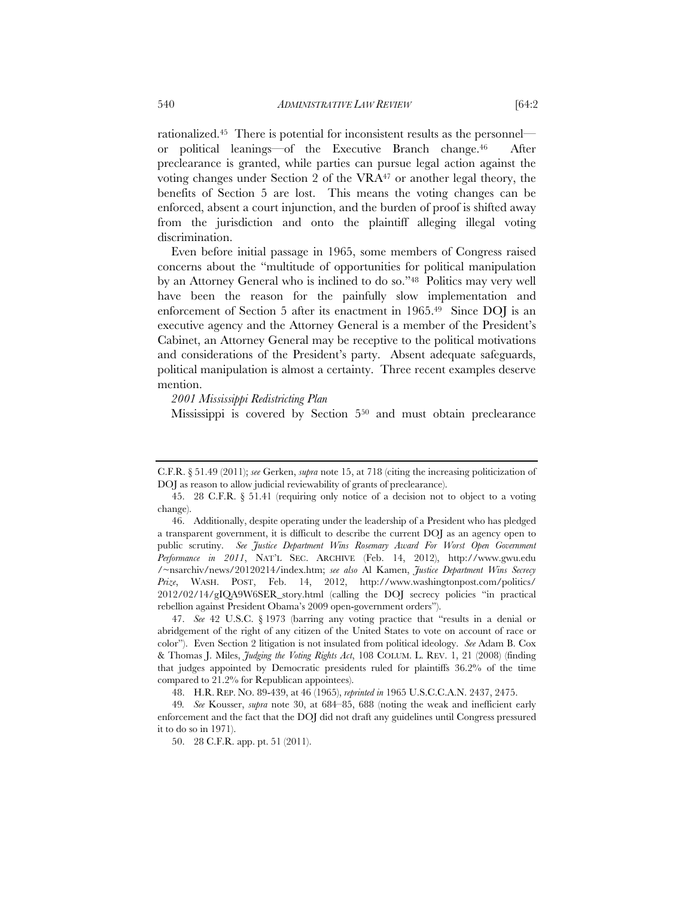rationalized.45 There is potential for inconsistent results as the personnel or political leanings—of the Executive Branch change.46 After preclearance is granted, while parties can pursue legal action against the voting changes under Section 2 of the VRA47 or another legal theory, the benefits of Section 5 are lost. This means the voting changes can be enforced, absent a court injunction, and the burden of proof is shifted away from the jurisdiction and onto the plaintiff alleging illegal voting discrimination.

Even before initial passage in 1965, some members of Congress raised concerns about the "multitude of opportunities for political manipulation by an Attorney General who is inclined to do so."48 Politics may very well have been the reason for the painfully slow implementation and enforcement of Section 5 after its enactment in 1965.49 Since DOJ is an executive agency and the Attorney General is a member of the President's Cabinet, an Attorney General may be receptive to the political motivations and considerations of the President's party. Absent adequate safeguards, political manipulation is almost a certainty. Three recent examples deserve mention.

*2001 Mississippi Redistricting Plan*

Mississippi is covered by Section 550 and must obtain preclearance

C.F.R. § 51.49 (2011); *see* Gerken, *supra* note 15, at 718 (citing the increasing politicization of DOJ as reason to allow judicial reviewability of grants of preclearance).

 <sup>45. 28</sup> C.F.R. § 51.41 (requiring only notice of a decision not to object to a voting change).

 <sup>46.</sup> Additionally, despite operating under the leadership of a President who has pledged a transparent government, it is difficult to describe the current DOJ as an agency open to public scrutiny. See Justice Department Wins Rosemary Award For Worst Open Government *Performance in 2011*, NAT'L SEC. ARCHIVE (Feb. 14, 2012), http://www.gwu.edu /~nsarchiv/news/20120214/index.htm; *see also* Al Kamen, *Justice Department Wins Secrecy Prize*, WASH. POST, Feb. 14, 2012, http://www.washingtonpost.com/politics/ 2012/02/14/gIQA9W6SER\_story.html (calling the DOJ secrecy policies "in practical rebellion against President Obama's 2009 open-government orders").

 <sup>47.</sup> *See* 42 U.S.C. § 1973 (barring any voting practice that "results in a denial or abridgement of the right of any citizen of the United States to vote on account of race or color"). Even Section 2 litigation is not insulated from political ideology. *See* Adam B. Cox & Thomas J. Miles, *Judging the Voting Rights Act*, 108 COLUM. L. REV. 1, 21 (2008) (finding that judges appointed by Democratic presidents ruled for plaintiffs 36.2% of the time compared to 21.2% for Republican appointees).

 <sup>48.</sup> H.R. REP. NO. 89-439, at 46 (1965), *reprinted in* 1965 U.S.C.C.A.N. 2437, 2475.

<sup>49</sup>*. See* Kousser, *supra* note 30, at 684–85, 688 (noting the weak and inefficient early enforcement and the fact that the DOJ did not draft any guidelines until Congress pressured it to do so in 1971).

 <sup>50. 28</sup> C.F.R. app. pt. 51 (2011).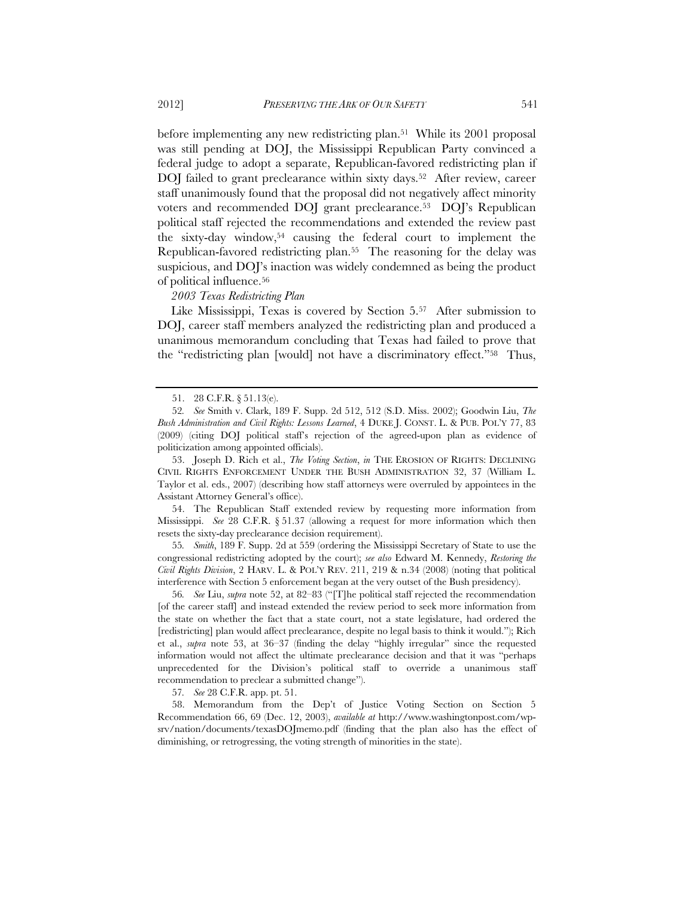before implementing any new redistricting plan.51 While its 2001 proposal was still pending at DOJ, the Mississippi Republican Party convinced a federal judge to adopt a separate, Republican-favored redistricting plan if DOJ failed to grant preclearance within sixty days.<sup>52</sup> After review, career staff unanimously found that the proposal did not negatively affect minority voters and recommended DOJ grant preclearance.53 DOJ's Republican political staff rejected the recommendations and extended the review past the sixty-day window,54 causing the federal court to implement the Republican-favored redistricting plan.55 The reasoning for the delay was suspicious, and DOJ's inaction was widely condemned as being the product

of political influence.56

*2003 Texas Redistricting Plan*

Like Mississippi, Texas is covered by Section 5.57 After submission to DOJ, career staff members analyzed the redistricting plan and produced a unanimous memorandum concluding that Texas had failed to prove that the "redistricting plan [would] not have a discriminatory effect."58 Thus,

 53. Joseph D. Rich et al., *The Voting Section*, *in* THE EROSION OF RIGHTS: DECLINING CIVIL RIGHTS ENFORCEMENT UNDER THE BUSH ADMINISTRATION 32, 37 (William L. Taylor et al. eds., 2007) (describing how staff attorneys were overruled by appointees in the Assistant Attorney General's office).

 54. The Republican Staff extended review by requesting more information from Mississippi. *See* 28 C.F.R. § 51.37 (allowing a request for more information which then resets the sixty-day preclearance decision requirement).

55*. Smith*, 189 F. Supp. 2d at 559 (ordering the Mississippi Secretary of State to use the congressional redistricting adopted by the court); *see also* Edward M. Kennedy, *Restoring the Civil Rights Division*, 2 HARV. L. & POL'Y REV. 211, 219 & n.34 (2008) (noting that political interference with Section 5 enforcement began at the very outset of the Bush presidency).

56*. See* Liu, *supra* note 52, at 82–83 ("[T]he political staff rejected the recommendation [of the career staff] and instead extended the review period to seek more information from the state on whether the fact that a state court, not a state legislature, had ordered the [redistricting] plan would affect preclearance, despite no legal basis to think it would."); Rich et al., *supra* note 53, at 36–37 (finding the delay "highly irregular" since the requested information would not affect the ultimate preclearance decision and that it was "perhaps unprecedented for the Division's political staff to override a unanimous staff recommendation to preclear a submitted change").

57*. See* 28 C.F.R. app. pt. 51.

 58. Memorandum from the Dep't of Justice Voting Section on Section 5 Recommendation 66, 69 (Dec. 12, 2003), *available at* http://www.washingtonpost.com/wpsrv/nation/documents/texasDOJmemo.pdf (finding that the plan also has the effect of diminishing, or retrogressing, the voting strength of minorities in the state).

 <sup>51. 28</sup> C.F.R. § 51.13(e).

<sup>52</sup>*. See* Smith v. Clark, 189 F. Supp. 2d 512, 512 (S.D. Miss. 2002); Goodwin Liu, *The Bush Administration and Civil Rights: Lessons Learned*, 4 DUKE J. CONST. L. & PUB. POL'Y 77, 83 (2009) (citing DOJ political staff's rejection of the agreed-upon plan as evidence of politicization among appointed officials).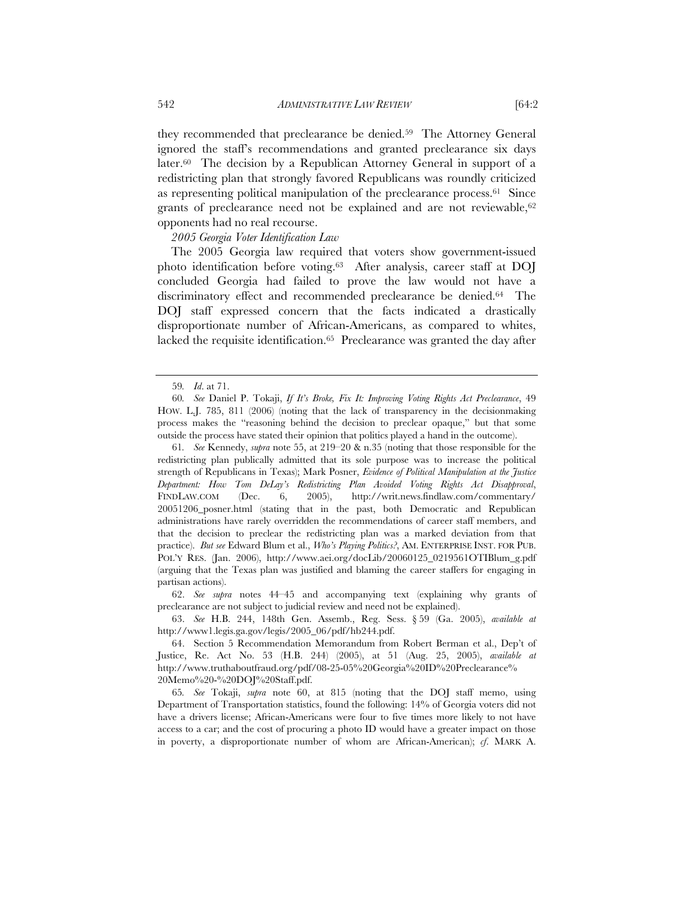they recommended that preclearance be denied.59 The Attorney General ignored the staff's recommendations and granted preclearance six days later.60 The decision by a Republican Attorney General in support of a redistricting plan that strongly favored Republicans was roundly criticized as representing political manipulation of the preclearance process.61 Since grants of preclearance need not be explained and are not reviewable,<sup>62</sup> opponents had no real recourse.

# *2005 Georgia Voter Identification Law*

The 2005 Georgia law required that voters show government-issued photo identification before voting.63 After analysis, career staff at DOJ concluded Georgia had failed to prove the law would not have a discriminatory effect and recommended preclearance be denied.<sup>64</sup> The DOJ staff expressed concern that the facts indicated a drastically disproportionate number of African-Americans, as compared to whites, lacked the requisite identification.<sup>65</sup> Preclearance was granted the day after

61*. See* Kennedy, *supra* note 55, at 219–20 & n.35 (noting that those responsible for the redistricting plan publically admitted that its sole purpose was to increase the political strength of Republicans in Texas); Mark Posner, *Evidence of Political Manipulation at the Justice Department: How Tom DeLay's Redistricting Plan Avoided Voting Rights Act Disapproval*, FINDLAW.COM (Dec. 6, 2005), http://writ.news.findlaw.com/commentary/ 20051206\_posner.html (stating that in the past, both Democratic and Republican administrations have rarely overridden the recommendations of career staff members, and that the decision to preclear the redistricting plan was a marked deviation from that practice). *But see* Edward Blum et al., *Who's Playing Politics?*, AM. ENTERPRISE INST. FOR PUB. POL'Y RES. (Jan. 2006), http://www.aei.org/docLib/20060125\_0219561OTIBlum\_g.pdf (arguing that the Texas plan was justified and blaming the career staffers for engaging in partisan actions).

 62. *See supra* notes 44–45 and accompanying text (explaining why grants of preclearance are not subject to judicial review and need not be explained).

 63. *See* H.B. 244, 148th Gen. Assemb., Reg. Sess. § 59 (Ga. 2005), *available at*  http://www1.legis.ga.gov/legis/2005\_06/pdf/hb244.pdf.

 64. Section 5 Recommendation Memorandum from Robert Berman et al., Dep't of Justice, Re. Act No. 53 (H.B. 244) (2005), at 51 (Aug. 25, 2005), *available at* http://www.truthaboutfraud.org/pdf/08-25-05%20Georgia%20ID%20Preclearance% 20Memo%20-%20DOJ%20Staff.pdf.

65*. See* Tokaji, *supra* note 60, at 815 (noting that the DOJ staff memo, using Department of Transportation statistics, found the following: 14% of Georgia voters did not have a drivers license; African-Americans were four to five times more likely to not have access to a car; and the cost of procuring a photo ID would have a greater impact on those in poverty, a disproportionate number of whom are African-American); *cf*. MARK A.

<sup>59</sup>*. Id*. at 71.

<sup>60</sup>*. See* Daniel P. Tokaji, *If It's Broke, Fix It: Improving Voting Rights Act Preclearance*, 49 HOW. L.J. 785, 811 (2006) (noting that the lack of transparency in the decisionmaking process makes the "reasoning behind the decision to preclear opaque," but that some outside the process have stated their opinion that politics played a hand in the outcome).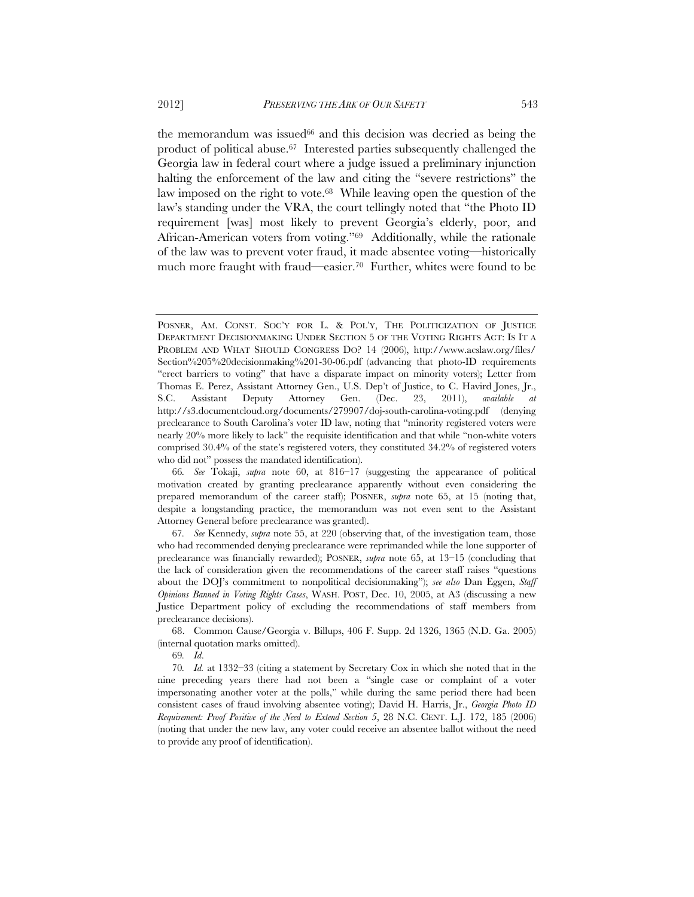the memorandum was issued<sup>66</sup> and this decision was decried as being the product of political abuse.67 Interested parties subsequently challenged the Georgia law in federal court where a judge issued a preliminary injunction halting the enforcement of the law and citing the "severe restrictions" the law imposed on the right to vote.<sup>68</sup> While leaving open the question of the law's standing under the VRA, the court tellingly noted that "the Photo ID requirement [was] most likely to prevent Georgia's elderly, poor, and African-American voters from voting."69 Additionally, while the rationale of the law was to prevent voter fraud, it made absentee voting—historically much more fraught with fraud—easier.70 Further, whites were found to be

 68. Common Cause/Georgia v. Billups, 406 F. Supp. 2d 1326, 1365 (N.D. Ga. 2005) (internal quotation marks omitted).

69*. Id*.

POSNER, AM. CONST. SOC'Y FOR L. & POL'Y, THE POLITICIZATION OF JUSTICE DEPARTMENT DECISIONMAKING UNDER SECTION 5 OF THE VOTING RIGHTS ACT: IS IT A PROBLEM AND WHAT SHOULD CONGRESS DO? 14 (2006), http://www.acslaw.org/files/ Section%205%20decisionmaking%201-30-06.pdf (advancing that photo-ID requirements "erect barriers to voting" that have a disparate impact on minority voters); Letter from Thomas E. Perez, Assistant Attorney Gen., U.S. Dep't of Justice, to C. Havird Jones, Jr., S.C. Assistant Deputy Attorney Gen. (Dec. 23, 2011), *available at* http://s3.documentcloud.org/documents/279907/doj-south-carolina-voting.pdf (denying preclearance to South Carolina's voter ID law, noting that "minority registered voters were nearly 20% more likely to lack" the requisite identification and that while "non-white voters comprised 30.4% of the state's registered voters, they constituted 34.2% of registered voters who did not" possess the mandated identification).

<sup>66</sup>*. See* Tokaji, *supra* note 60, at 816–17 (suggesting the appearance of political motivation created by granting preclearance apparently without even considering the prepared memorandum of the career staff); POSNER, *supra* note 65, at 15 (noting that, despite a longstanding practice, the memorandum was not even sent to the Assistant Attorney General before preclearance was granted).

<sup>67</sup>*. See* Kennedy, *supra* note 55, at 220 (observing that, of the investigation team, those who had recommended denying preclearance were reprimanded while the lone supporter of preclearance was financially rewarded); POSNER, *supra* note 65, at 13–15 (concluding that the lack of consideration given the recommendations of the career staff raises "questions about the DOJ's commitment to nonpolitical decisionmaking"); *see also* Dan Eggen, *Staff Opinions Banned in Voting Rights Cases*, WASH. POST, Dec. 10, 2005, at A3 (discussing a new Justice Department policy of excluding the recommendations of staff members from preclearance decisions).

<sup>70</sup>*. Id.* at 1332–33 (citing a statement by Secretary Cox in which she noted that in the nine preceding years there had not been a "single case or complaint of a voter impersonating another voter at the polls," while during the same period there had been consistent cases of fraud involving absentee voting); David H. Harris, Jr., *Georgia Photo ID Requirement: Proof Positive of the Need to Extend Section 5*, 28 N.C. CENT. L.J. 172, 185 (2006) (noting that under the new law, any voter could receive an absentee ballot without the need to provide any proof of identification).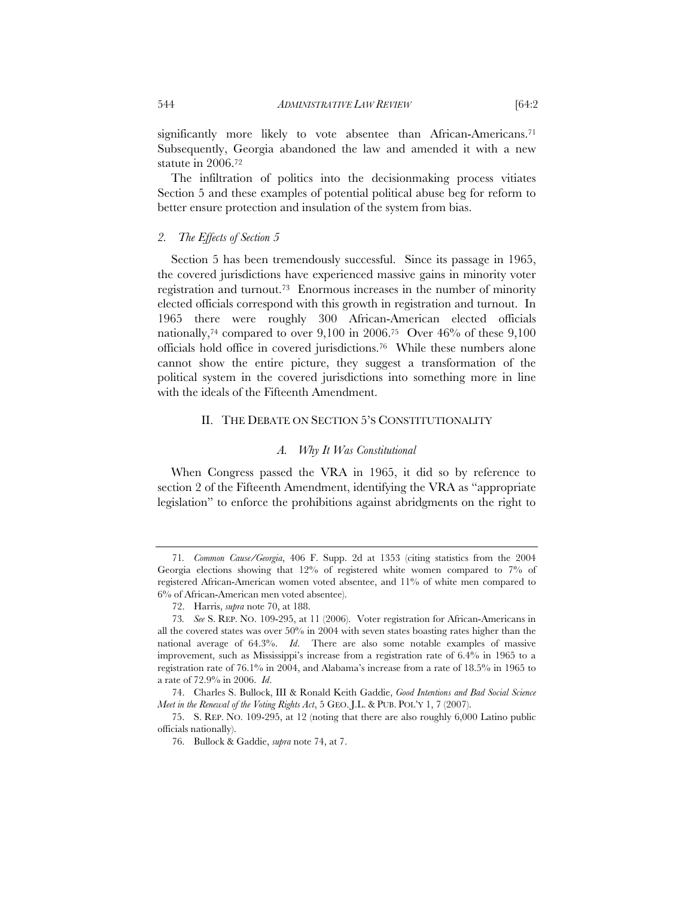significantly more likely to vote absentee than African-Americans.<sup>71</sup> Subsequently, Georgia abandoned the law and amended it with a new statute in 2006.72

The infiltration of politics into the decisionmaking process vitiates Section 5 and these examples of potential political abuse beg for reform to better ensure protection and insulation of the system from bias.

#### *2. The Effects of Section 5*

Section 5 has been tremendously successful. Since its passage in 1965, the covered jurisdictions have experienced massive gains in minority voter registration and turnout.73 Enormous increases in the number of minority elected officials correspond with this growth in registration and turnout. In 1965 there were roughly 300 African-American elected officials nationally,74 compared to over 9,100 in 2006.75 Over 46% of these 9,100 officials hold office in covered jurisdictions.76 While these numbers alone cannot show the entire picture, they suggest a transformation of the political system in the covered jurisdictions into something more in line with the ideals of the Fifteenth Amendment.

# II. THE DEBATE ON SECTION 5'S CONSTITUTIONALITY

# *A. Why It Was Constitutional*

When Congress passed the VRA in 1965, it did so by reference to section 2 of the Fifteenth Amendment, identifying the VRA as "appropriate legislation" to enforce the prohibitions against abridgments on the right to

<sup>71</sup>*. Common Cause/Georgia*, 406 F. Supp. 2d at 1353 (citing statistics from the 2004 Georgia elections showing that 12% of registered white women compared to 7% of registered African-American women voted absentee, and 11% of white men compared to 6% of African-American men voted absentee).

 <sup>72.</sup> Harris, *supra* note 70, at 188.

<sup>73</sup>*. See* S. REP. NO. 109-295, at 11 (2006). Voter registration for African-Americans in all the covered states was over 50% in 2004 with seven states boasting rates higher than the national average of 64.3%. *Id*. There are also some notable examples of massive improvement, such as Mississippi's increase from a registration rate of 6.4% in 1965 to a registration rate of 76.1% in 2004, and Alabama's increase from a rate of 18.5% in 1965 to a rate of 72.9% in 2006. *Id*.

 <sup>74.</sup> Charles S. Bullock, III & Ronald Keith Gaddie, *Good Intentions and Bad Social Science Meet in the Renewal of the Voting Rights Act*, 5 GEO. J.L. & PUB. POL'Y 1, 7 (2007).

 <sup>75.</sup> S. REP. NO. 109-295, at 12 (noting that there are also roughly 6,000 Latino public officials nationally).

 <sup>76.</sup> Bullock & Gaddie, *supra* note 74, at 7.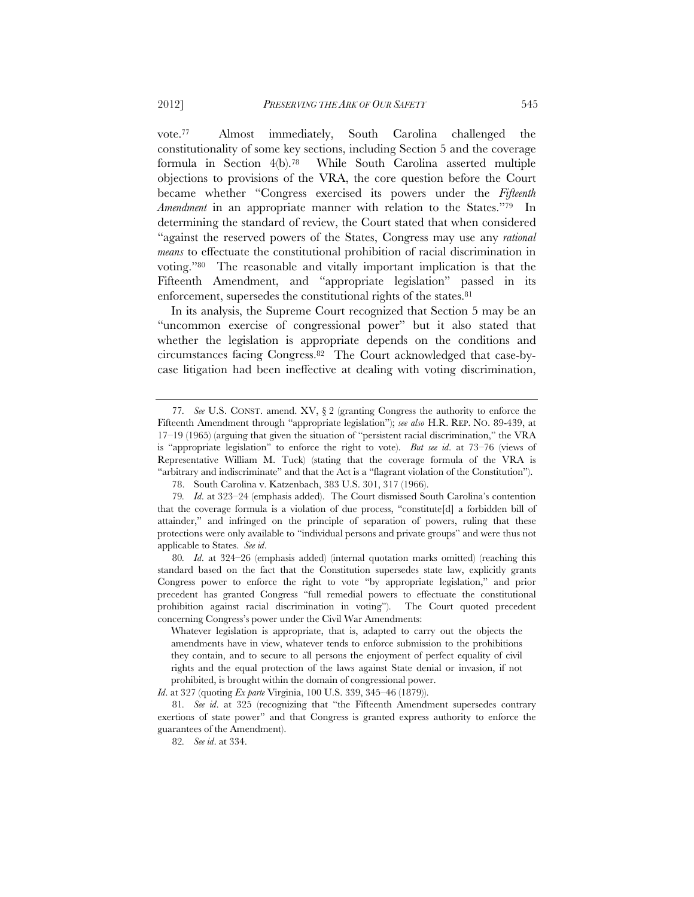vote.77 Almost immediately, South Carolina challenged the constitutionality of some key sections, including Section 5 and the coverage formula in Section 4(b).78 While South Carolina asserted multiple objections to provisions of the VRA, the core question before the Court became whether "Congress exercised its powers under the *Fifteenth Amendment* in an appropriate manner with relation to the States."79 In determining the standard of review, the Court stated that when considered "against the reserved powers of the States, Congress may use any *rational means* to effectuate the constitutional prohibition of racial discrimination in voting."80 The reasonable and vitally important implication is that the Fifteenth Amendment, and "appropriate legislation" passed in its enforcement, supersedes the constitutional rights of the states.<sup>81</sup>

In its analysis, the Supreme Court recognized that Section 5 may be an "uncommon exercise of congressional power" but it also stated that whether the legislation is appropriate depends on the conditions and circumstances facing Congress.82 The Court acknowledged that case-bycase litigation had been ineffective at dealing with voting discrimination,

80*. Id*. at 324–26 (emphasis added) (internal quotation marks omitted) (reaching this standard based on the fact that the Constitution supersedes state law, explicitly grants Congress power to enforce the right to vote "by appropriate legislation," and prior precedent has granted Congress "full remedial powers to effectuate the constitutional prohibition against racial discrimination in voting"). The Court quoted precedent concerning Congress's power under the Civil War Amendments:

*Id*. at 327 (quoting *Ex parte* Virginia, 100 U.S. 339, 345–46 (1879)).

<sup>77</sup>*. See* U.S. CONST. amend. XV, § 2 (granting Congress the authority to enforce the Fifteenth Amendment through "appropriate legislation"); *see also* H.R. REP. NO. 89-439, at 17–19 (1965) (arguing that given the situation of "persistent racial discrimination," the VRA is "appropriate legislation" to enforce the right to vote). *But see id*. at 73–76 (views of Representative William M. Tuck) (stating that the coverage formula of the VRA is "arbitrary and indiscriminate" and that the Act is a "flagrant violation of the Constitution").

 <sup>78.</sup> South Carolina v. Katzenbach, 383 U.S. 301, 317 (1966).

<sup>79</sup>*. Id*. at 323–24 (emphasis added). The Court dismissed South Carolina's contention that the coverage formula is a violation of due process, "constitute[d] a forbidden bill of attainder," and infringed on the principle of separation of powers, ruling that these protections were only available to "individual persons and private groups" and were thus not applicable to States. *See id*.

Whatever legislation is appropriate, that is, adapted to carry out the objects the amendments have in view, whatever tends to enforce submission to the prohibitions they contain, and to secure to all persons the enjoyment of perfect equality of civil rights and the equal protection of the laws against State denial or invasion, if not prohibited, is brought within the domain of congressional power.

<sup>81</sup>*. See id*. at 325 (recognizing that "the Fifteenth Amendment supersedes contrary exertions of state power" and that Congress is granted express authority to enforce the guarantees of the Amendment).

<sup>82</sup>*. See id*. at 334.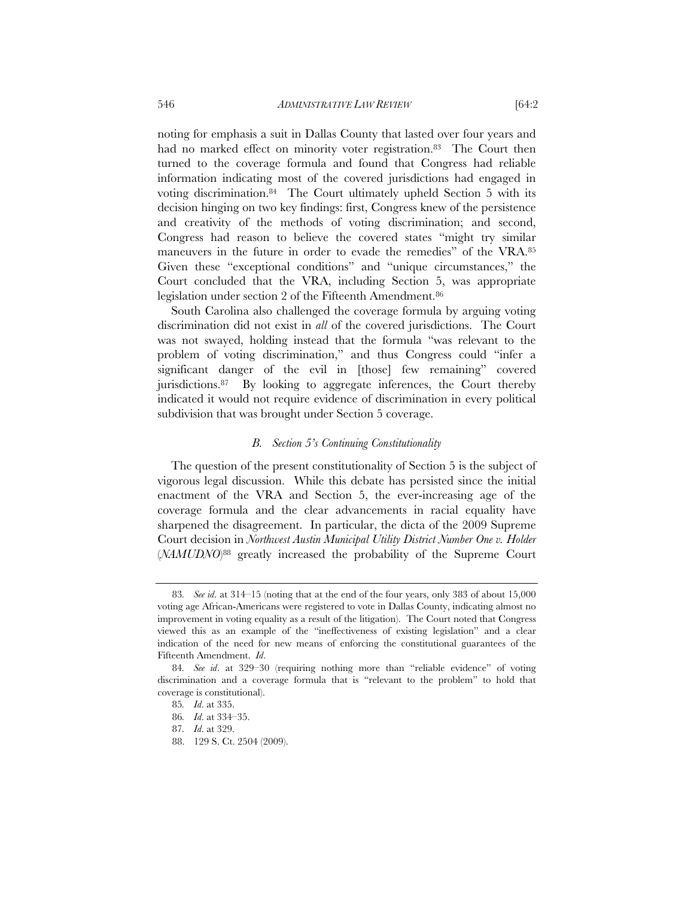noting for emphasis a suit in Dallas County that lasted over four years and had no marked effect on minority voter registration.<sup>83</sup> The Court then turned to the coverage formula and found that Congress had reliable information indicating most of the covered jurisdictions had engaged in voting discrimination.84 The Court ultimately upheld Section 5 with its decision hinging on two key findings: first, Congress knew of the persistence and creativity of the methods of voting discrimination; and second, Congress had reason to believe the covered states "might try similar maneuvers in the future in order to evade the remedies" of the VRA.85 Given these "exceptional conditions" and "unique circumstances," the Court concluded that the VRA, including Section 5, was appropriate legislation under section 2 of the Fifteenth Amendment.86

South Carolina also challenged the coverage formula by arguing voting discrimination did not exist in *all* of the covered jurisdictions. The Court was not swayed, holding instead that the formula "was relevant to the problem of voting discrimination," and thus Congress could "infer a significant danger of the evil in [those] few remaining" covered jurisdictions.87 By looking to aggregate inferences, the Court thereby indicated it would not require evidence of discrimination in every political subdivision that was brought under Section 5 coverage.

# *B. Section 5's Continuing Constitutionality*

The question of the present constitutionality of Section 5 is the subject of vigorous legal discussion. While this debate has persisted since the initial enactment of the VRA and Section 5, the ever-increasing age of the coverage formula and the clear advancements in racial equality have sharpened the disagreement. In particular, the dicta of the 2009 Supreme Court decision in *Northwest Austin Municipal Utility District Number One v. Holder*  (*NAMUDNO*)88 greatly increased the probability of the Supreme Court

<sup>83</sup>*. See id*. at 314–15 (noting that at the end of the four years, only 383 of about 15,000 voting age African-Americans were registered to vote in Dallas County, indicating almost no improvement in voting equality as a result of the litigation). The Court noted that Congress viewed this as an example of the "ineffectiveness of existing legislation" and a clear indication of the need for new means of enforcing the constitutional guarantees of the Fifteenth Amendment. *Id*.

<sup>84</sup>*. See id*. at 329–30 (requiring nothing more than "reliable evidence" of voting discrimination and a coverage formula that is "relevant to the problem" to hold that coverage is constitutional).

<sup>85</sup>*. Id*. at 335.

<sup>86</sup>*. Id*. at 334–35.

<sup>87</sup>*. Id*. at 329.

 <sup>88. 129</sup> S. Ct. 2504 (2009).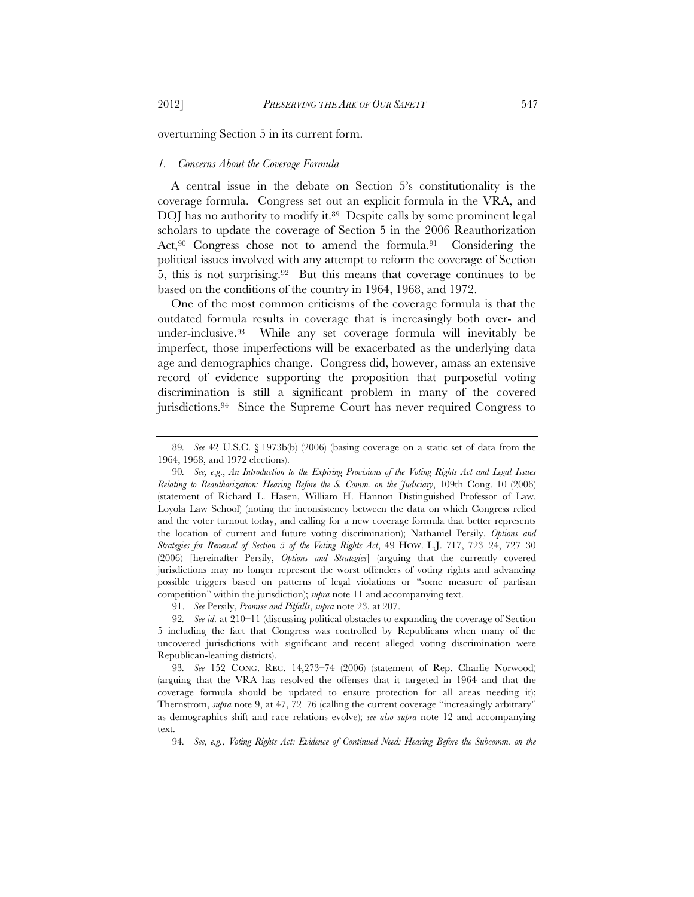overturning Section 5 in its current form.

#### *1. Concerns About the Coverage Formula*

A central issue in the debate on Section 5's constitutionality is the coverage formula. Congress set out an explicit formula in the VRA, and DOJ has no authority to modify it.<sup>89</sup> Despite calls by some prominent legal scholars to update the coverage of Section 5 in the 2006 Reauthorization Act,90 Congress chose not to amend the formula.91 Considering the political issues involved with any attempt to reform the coverage of Section 5, this is not surprising.92 But this means that coverage continues to be based on the conditions of the country in 1964, 1968, and 1972.

One of the most common criticisms of the coverage formula is that the outdated formula results in coverage that is increasingly both over- and under-inclusive.93 While any set coverage formula will inevitably be imperfect, those imperfections will be exacerbated as the underlying data age and demographics change. Congress did, however, amass an extensive record of evidence supporting the proposition that purposeful voting discrimination is still a significant problem in many of the covered jurisdictions.94 Since the Supreme Court has never required Congress to

91. *See* Persily, *Promise and Pitfalls*, *supra* note 23, at 207.

<sup>89</sup>*. See* 42 U.S.C. § 1973b(b) (2006) (basing coverage on a static set of data from the 1964, 1968, and 1972 elections).

<sup>90</sup>*. See, e*.*g*., *An Introduction to the Expiring Provisions of the Voting Rights Act and Legal Issues Relating to Reauthorization: Hearing Before the S. Comm. on the Judiciary*, 109th Cong. 10 (2006) (statement of Richard L. Hasen, William H. Hannon Distinguished Professor of Law, Loyola Law School) (noting the inconsistency between the data on which Congress relied and the voter turnout today, and calling for a new coverage formula that better represents the location of current and future voting discrimination); Nathaniel Persily, *Options and Strategies for Renewal of Section 5 of the Voting Rights Act*, 49 HOW. L.J. 717, 723–24, 727–30 (2006) [hereinafter Persily, *Options and Strategies*] (arguing that the currently covered jurisdictions may no longer represent the worst offenders of voting rights and advancing possible triggers based on patterns of legal violations or "some measure of partisan competition" within the jurisdiction); *supra* note 11 and accompanying text.

<sup>92</sup>*. See id*. at 210–11 (discussing political obstacles to expanding the coverage of Section 5 including the fact that Congress was controlled by Republicans when many of the uncovered jurisdictions with significant and recent alleged voting discrimination were Republican-leaning districts).

<sup>93</sup>*. See* 152 CONG. REC. 14,273–74 (2006) (statement of Rep. Charlie Norwood) (arguing that the VRA has resolved the offenses that it targeted in 1964 and that the coverage formula should be updated to ensure protection for all areas needing it); Thernstrom, *supra* note 9, at 47, 72–76 (calling the current coverage "increasingly arbitrary" as demographics shift and race relations evolve); *see also supra* note 12 and accompanying text.

<sup>94</sup>*. See, e.g.*, *Voting Rights Act: Evidence of Continued Need: Hearing Before the Subcomm. on the*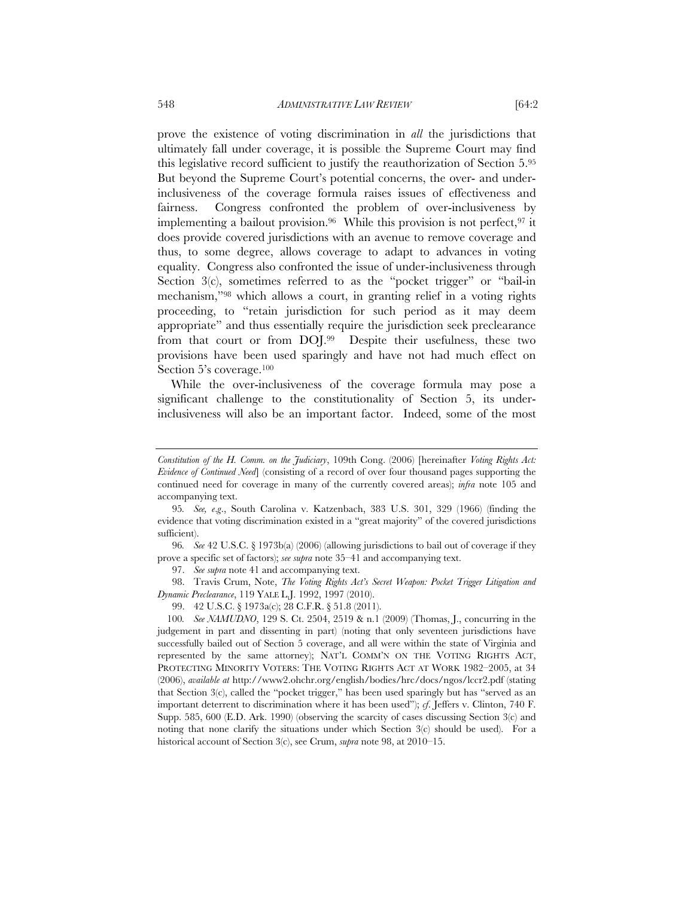prove the existence of voting discrimination in *all* the jurisdictions that ultimately fall under coverage, it is possible the Supreme Court may find this legislative record sufficient to justify the reauthorization of Section 5.95 But beyond the Supreme Court's potential concerns, the over- and underinclusiveness of the coverage formula raises issues of effectiveness and fairness. Congress confronted the problem of over-inclusiveness by implementing a bailout provision.<sup>96</sup> While this provision is not perfect,  $97$  it does provide covered jurisdictions with an avenue to remove coverage and thus, to some degree, allows coverage to adapt to advances in voting equality. Congress also confronted the issue of under-inclusiveness through Section 3(c), sometimes referred to as the "pocket trigger" or "bail-in mechanism,"98 which allows a court, in granting relief in a voting rights proceeding, to "retain jurisdiction for such period as it may deem appropriate" and thus essentially require the jurisdiction seek preclearance from that court or from DOJ.99 Despite their usefulness, these two provisions have been used sparingly and have not had much effect on Section 5's coverage.100

While the over-inclusiveness of the coverage formula may pose a significant challenge to the constitutionality of Section 5, its underinclusiveness will also be an important factor. Indeed, some of the most

97. *See supra* note 41 and accompanying text.

 98. Travis Crum, Note, *The Voting Rights Act's Secret Weapon: Pocket Trigger Litigation and Dynamic Preclearance*, 119 YALE L.J. 1992, 1997 (2010).

*Constitution of the H. Comm. on the Judiciary*, 109th Cong. (2006) [hereinafter *Voting Rights Act: Evidence of Continued Need*] (consisting of a record of over four thousand pages supporting the continued need for coverage in many of the currently covered areas); *infra* note 105 and accompanying text.

<sup>95</sup>*. See, e*.*g*., South Carolina v. Katzenbach, 383 U.S. 301, 329 (1966) (finding the evidence that voting discrimination existed in a "great majority" of the covered jurisdictions sufficient).

<sup>96</sup>*. See* 42 U.S.C. § 1973b(a) (2006) (allowing jurisdictions to bail out of coverage if they prove a specific set of factors); *see supra* note 35–41 and accompanying text.

 <sup>99. 42</sup> U.S.C. § 1973a(c); 28 C.F.R. § 51.8 (2011).

<sup>100</sup>*. See NAMUDNO*, 129 S. Ct. 2504, 2519 & n.1 (2009) (Thomas, J., concurring in the judgement in part and dissenting in part) (noting that only seventeen jurisdictions have successfully bailed out of Section 5 coverage, and all were within the state of Virginia and represented by the same attorney); NAT'L COMM'N ON THE VOTING RIGHTS ACT, PROTECTING MINORITY VOTERS: THE VOTING RIGHTS ACT AT WORK 1982–2005, at 34 (2006), *available at* http://www2.ohchr.org/english/bodies/hrc/docs/ngos/lccr2.pdf (stating that Section 3(c), called the "pocket trigger," has been used sparingly but has "served as an important deterrent to discrimination where it has been used"); *cf*. Jeffers v. Clinton, 740 F. Supp. 585, 600 (E.D. Ark. 1990) (observing the scarcity of cases discussing Section 3(c) and noting that none clarify the situations under which Section 3(c) should be used). For a historical account of Section 3(c), see Crum, *supra* note 98, at 2010–15.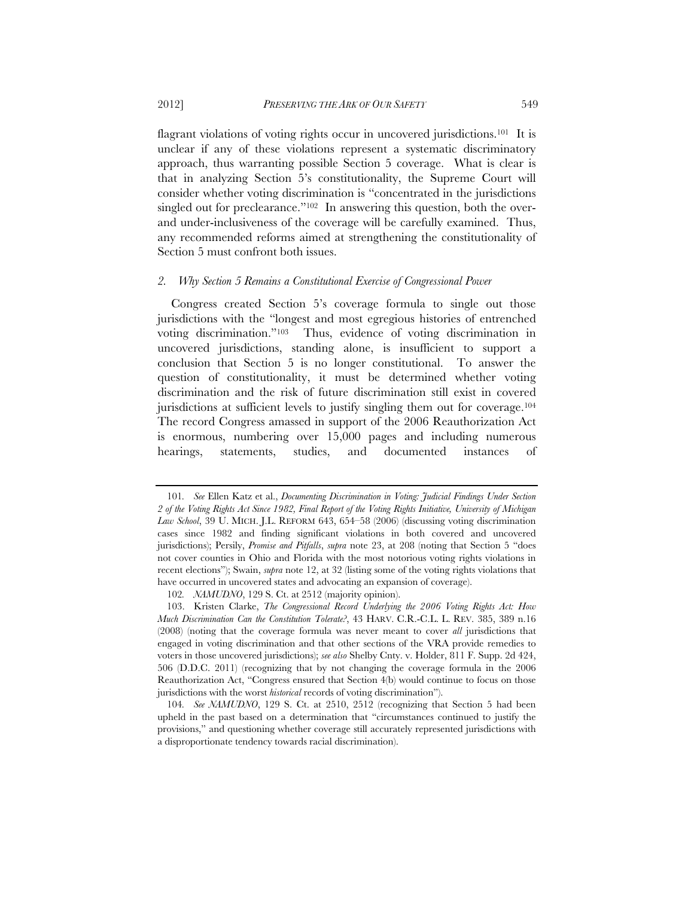flagrant violations of voting rights occur in uncovered jurisdictions.<sup>101</sup> It is unclear if any of these violations represent a systematic discriminatory approach, thus warranting possible Section 5 coverage. What is clear is that in analyzing Section 5's constitutionality, the Supreme Court will consider whether voting discrimination is "concentrated in the jurisdictions singled out for preclearance."<sup>102</sup> In answering this question, both the overand under-inclusiveness of the coverage will be carefully examined. Thus, any recommended reforms aimed at strengthening the constitutionality of Section 5 must confront both issues.

# *2. Why Section 5 Remains a Constitutional Exercise of Congressional Power*

Congress created Section 5's coverage formula to single out those jurisdictions with the "longest and most egregious histories of entrenched voting discrimination."103 Thus, evidence of voting discrimination in uncovered jurisdictions, standing alone, is insufficient to support a conclusion that Section 5 is no longer constitutional. To answer the question of constitutionality, it must be determined whether voting discrimination and the risk of future discrimination still exist in covered jurisdictions at sufficient levels to justify singling them out for coverage.104 The record Congress amassed in support of the 2006 Reauthorization Act is enormous, numbering over 15,000 pages and including numerous hearings, statements, studies, and documented instances of

<sup>101</sup>*. See* Ellen Katz et al., *Documenting Discrimination in Voting: Judicial Findings Under Section 2 of the Voting Rights Act Since 1982, Final Report of the Voting Rights Initiative, University of Michigan Law School*, 39 U. MICH. J.L. REFORM 643, 654–58 (2006) (discussing voting discrimination cases since 1982 and finding significant violations in both covered and uncovered jurisdictions); Persily, *Promise and Pitfalls*, *supra* note 23, at 208 (noting that Section 5 "does not cover counties in Ohio and Florida with the most notorious voting rights violations in recent elections"); Swain, *supra* note 12, at 32 (listing some of the voting rights violations that have occurred in uncovered states and advocating an expansion of coverage).

<sup>102</sup>*. NAMUDNO*, 129 S. Ct. at 2512 (majority opinion).

 <sup>103.</sup> Kristen Clarke, *The Congressional Record Underlying the 2006 Voting Rights Act: How Much Discrimination Can the Constitution Tolerate?*, 43 HARV. C.R.-C.L. L. REV. 385, 389 n.16 (2008) (noting that the coverage formula was never meant to cover *all* jurisdictions that engaged in voting discrimination and that other sections of the VRA provide remedies to voters in those uncovered jurisdictions); *see also* Shelby Cnty. v. Holder, 811 F. Supp. 2d 424, 506 (D.D.C. 2011) (recognizing that by not changing the coverage formula in the 2006 Reauthorization Act, "Congress ensured that Section 4(b) would continue to focus on those jurisdictions with the worst *historical* records of voting discrimination").

<sup>104</sup>*. See NAMUDNO*, 129 S. Ct. at 2510, 2512 (recognizing that Section 5 had been upheld in the past based on a determination that "circumstances continued to justify the provisions," and questioning whether coverage still accurately represented jurisdictions with a disproportionate tendency towards racial discrimination).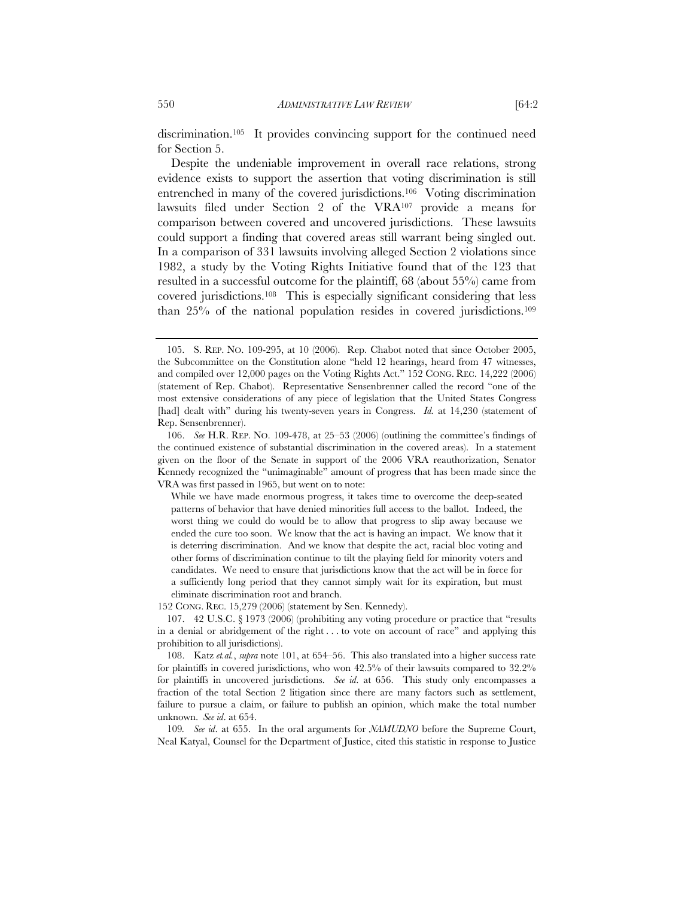discrimination.105 It provides convincing support for the continued need for Section 5.

Despite the undeniable improvement in overall race relations, strong evidence exists to support the assertion that voting discrimination is still entrenched in many of the covered jurisdictions.106 Voting discrimination lawsuits filed under Section 2 of the VRA107 provide a means for comparison between covered and uncovered jurisdictions. These lawsuits could support a finding that covered areas still warrant being singled out. In a comparison of 331 lawsuits involving alleged Section 2 violations since 1982, a study by the Voting Rights Initiative found that of the 123 that resulted in a successful outcome for the plaintiff, 68 (about 55%) came from covered jurisdictions.108 This is especially significant considering that less than 25% of the national population resides in covered jurisdictions.109

152 CONG. REC. 15,279 (2006) (statement by Sen. Kennedy).

 107. 42 U.S.C. § 1973 (2006) (prohibiting any voting procedure or practice that "results in a denial or abridgement of the right . . . to vote on account of race" and applying this prohibition to all jurisdictions).

 108. Katz *et.al.*, *supra* note 101, at 654–56. This also translated into a higher success rate for plaintiffs in covered jurisdictions, who won 42.5% of their lawsuits compared to 32.2% for plaintiffs in uncovered jurisdictions. *See id*. at 656. This study only encompasses a fraction of the total Section 2 litigation since there are many factors such as settlement, failure to pursue a claim, or failure to publish an opinion, which make the total number unknown. *See id*. at 654.

109*. See id*. at 655. In the oral arguments for *NAMUDNO* before the Supreme Court, Neal Katyal, Counsel for the Department of Justice, cited this statistic in response to Justice

 <sup>105.</sup> S. REP. NO. 109-295, at 10 (2006). Rep. Chabot noted that since October 2005, the Subcommittee on the Constitution alone "held 12 hearings, heard from 47 witnesses, and compiled over 12,000 pages on the Voting Rights Act." 152 CONG. REC. 14,222 (2006) (statement of Rep. Chabot). Representative Sensenbrenner called the record "one of the most extensive considerations of any piece of legislation that the United States Congress [had] dealt with" during his twenty-seven years in Congress. *Id.* at 14,230 (statement of Rep. Sensenbrenner).

 <sup>106.</sup> *See* H.R. REP. NO. 109-478, at 25–53 (2006) (outlining the committee's findings of the continued existence of substantial discrimination in the covered areas). In a statement given on the floor of the Senate in support of the 2006 VRA reauthorization, Senator Kennedy recognized the "unimaginable" amount of progress that has been made since the VRA was first passed in 1965, but went on to note:

While we have made enormous progress, it takes time to overcome the deep-seated patterns of behavior that have denied minorities full access to the ballot. Indeed, the worst thing we could do would be to allow that progress to slip away because we ended the cure too soon. We know that the act is having an impact. We know that it is deterring discrimination. And we know that despite the act, racial bloc voting and other forms of discrimination continue to tilt the playing field for minority voters and candidates. We need to ensure that jurisdictions know that the act will be in force for a sufficiently long period that they cannot simply wait for its expiration, but must eliminate discrimination root and branch.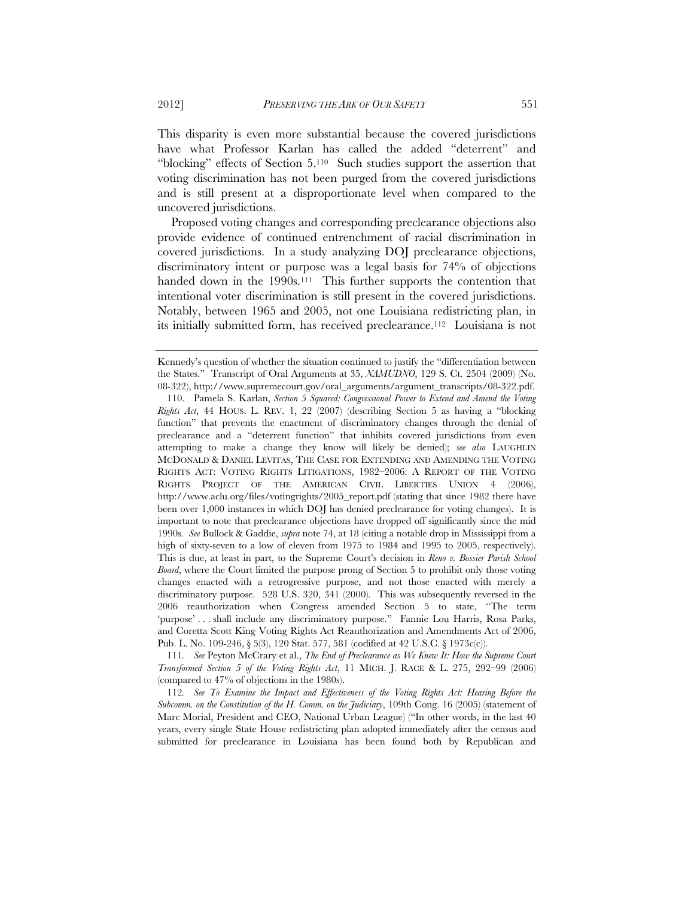This disparity is even more substantial because the covered jurisdictions have what Professor Karlan has called the added "deterrent" and "blocking" effects of Section 5.110 Such studies support the assertion that voting discrimination has not been purged from the covered jurisdictions and is still present at a disproportionate level when compared to the uncovered jurisdictions.

Proposed voting changes and corresponding preclearance objections also provide evidence of continued entrenchment of racial discrimination in covered jurisdictions. In a study analyzing DOJ preclearance objections, discriminatory intent or purpose was a legal basis for 74% of objections handed down in the 1990s.<sup>111</sup> This further supports the contention that intentional voter discrimination is still present in the covered jurisdictions. Notably, between 1965 and 2005, not one Louisiana redistricting plan, in its initially submitted form, has received preclearance.112 Louisiana is not

111*. See* Peyton McCrary et al., *The End of Preclearance as We Knew It: How the Supreme Court Transformed Section 5 of the Voting Rights Act*, 11 MICH. J. RACE & L. 275, 292–99 (2006) (compared to 47% of objections in the 1980s).

112*. See To Examine the Impact and Effectiveness of the Voting Rights Act: Hearing Before the Subcomm. on the Constitution of the H. Comm. on the Judiciary*, 109th Cong. 16 (2005) (statement of Marc Morial, President and CEO, National Urban League) ("In other words, in the last 40 years, every single State House redistricting plan adopted immediately after the census and submitted for preclearance in Louisiana has been found both by Republican and

Kennedy's question of whether the situation continued to justify the "differentiation between the States." Transcript of Oral Arguments at 35, *NAMUDNO*, 129 S. Ct. 2504 (2009) (No. 08-322), http://www.supremecourt.gov/oral\_arguments/argument\_transcripts/08-322.pdf.

 <sup>110.</sup> Pamela S. Karlan, *Section 5 Squared: Congressional Power to Extend and Amend the Voting Rights Act*, 44 HOUS. L. REV. 1, 22 (2007) (describing Section 5 as having a "blocking function" that prevents the enactment of discriminatory changes through the denial of preclearance and a "deterrent function" that inhibits covered jurisdictions from even attempting to make a change they know will likely be denied); *see also* LAUGHLIN MCDONALD & DANIEL LEVITAS, THE CASE FOR EXTENDING AND AMENDING THE VOTING RIGHTS ACT: VOTING RIGHTS LITIGATIONS, 1982–2006: A REPORT OF THE VOTING RIGHTS PROJECT OF THE AMERICAN CIVIL LIBERTIES UNION 4 (2006), http://www.aclu.org/files/votingrights/2005\_report.pdf (stating that since 1982 there have been over 1,000 instances in which DOJ has denied preclearance for voting changes). It is important to note that preclearance objections have dropped off significantly since the mid 1990s. *See* Bullock & Gaddie, *supra* note 74, at 18 (citing a notable drop in Mississippi from a high of sixty-seven to a low of eleven from 1975 to 1984 and 1995 to 2005, respectively). This is due, at least in part, to the Supreme Court's decision in *Reno v. Bossier Parish School Board*, where the Court limited the purpose prong of Section 5 to prohibit only those voting changes enacted with a retrogressive purpose, and not those enacted with merely a discriminatory purpose. 528 U.S. 320, 341 (2000). This was subsequently reversed in the 2006 reauthorization when Congress amended Section 5 to state, "The term 'purpose' . . . shall include any discriminatory purpose." Fannie Lou Harris, Rosa Parks, and Coretta Scott King Voting Rights Act Reauthorization and Amendments Act of 2006, Pub. L. No. 109-246, § 5(3), 120 Stat. 577, 581 (codified at 42 U.S.C. § 1973c(c)).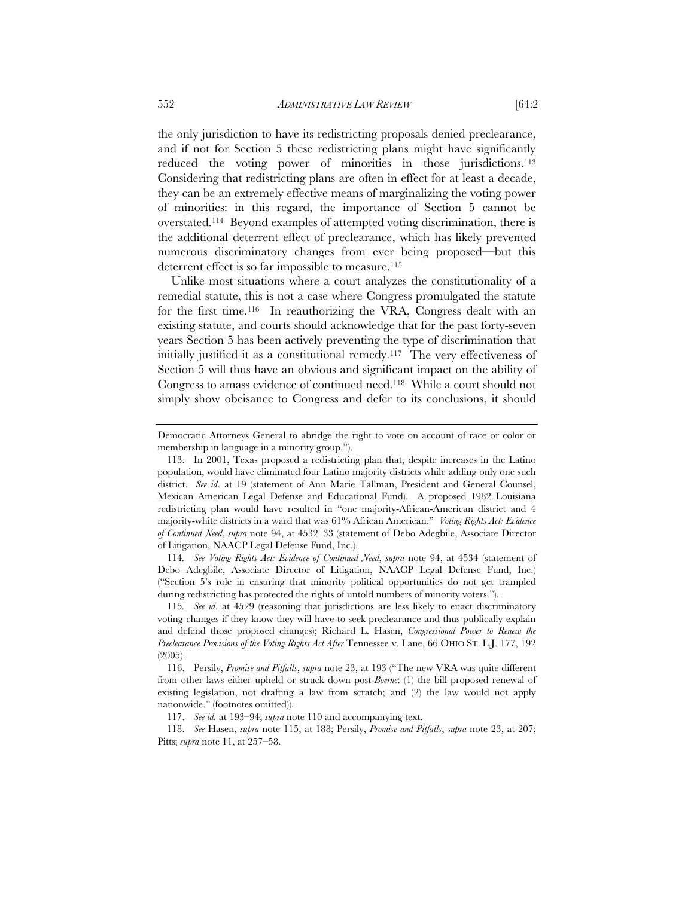the only jurisdiction to have its redistricting proposals denied preclearance, and if not for Section 5 these redistricting plans might have significantly reduced the voting power of minorities in those jurisdictions.<sup>113</sup> Considering that redistricting plans are often in effect for at least a decade, they can be an extremely effective means of marginalizing the voting power of minorities: in this regard, the importance of Section 5 cannot be overstated.114 Beyond examples of attempted voting discrimination, there is the additional deterrent effect of preclearance, which has likely prevented numerous discriminatory changes from ever being proposed—but this deterrent effect is so far impossible to measure.<sup>115</sup>

Unlike most situations where a court analyzes the constitutionality of a remedial statute, this is not a case where Congress promulgated the statute for the first time.116 In reauthorizing the VRA, Congress dealt with an existing statute, and courts should acknowledge that for the past forty-seven years Section 5 has been actively preventing the type of discrimination that initially justified it as a constitutional remedy.117 The very effectiveness of Section 5 will thus have an obvious and significant impact on the ability of Congress to amass evidence of continued need.118 While a court should not simply show obeisance to Congress and defer to its conclusions, it should

114*. See Voting Rights Act: Evidence of Continued Need*, *supra* note 94, at 4534 (statement of Debo Adegbile, Associate Director of Litigation, NAACP Legal Defense Fund, Inc.) ("Section 5's role in ensuring that minority political opportunities do not get trampled during redistricting has protected the rights of untold numbers of minority voters.").

115*. See id*. at 4529 (reasoning that jurisdictions are less likely to enact discriminatory voting changes if they know they will have to seek preclearance and thus publically explain and defend those proposed changes); Richard L. Hasen, *Congressional Power to Renew the Preclearance Provisions of the Voting Rights Act After* Tennessee v. Lane, 66 OHIO ST. L.J. 177, 192 (2005).

 116. Persily, *Promise and Pitfalls*, *supra* note 23, at 193 ("The new VRA was quite different from other laws either upheld or struck down post-*Boerne*: (1) the bill proposed renewal of existing legislation, not drafting a law from scratch; and (2) the law would not apply nationwide." (footnotes omitted)).

 118. *See* Hasen, *supra* note 115, at 188; Persily, *Promise and Pitfalls*, *supra* note 23, at 207; Pitts; *supra* note 11, at 257–58.

Democratic Attorneys General to abridge the right to vote on account of race or color or membership in language in a minority group.").

 <sup>113.</sup> In 2001, Texas proposed a redistricting plan that, despite increases in the Latino population, would have eliminated four Latino majority districts while adding only one such district. *See id*. at 19 (statement of Ann Marie Tallman, President and General Counsel, Mexican American Legal Defense and Educational Fund). A proposed 1982 Louisiana redistricting plan would have resulted in "one majority-African-American district and 4 majority-white districts in a ward that was 61% African American." *Voting Rights Act: Evidence of Continued Need*, *supra* note 94, at 4532–33 (statement of Debo Adegbile, Associate Director of Litigation, NAACP Legal Defense Fund, Inc.).

 <sup>117.</sup> *See id.* at 193–94; *supra* note 110 and accompanying text.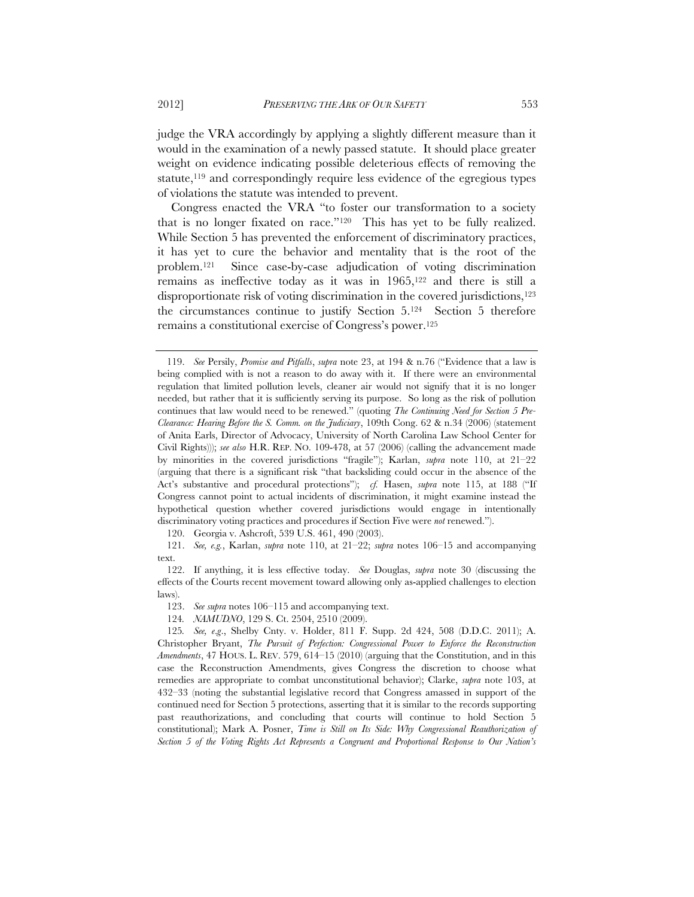judge the VRA accordingly by applying a slightly different measure than it would in the examination of a newly passed statute. It should place greater weight on evidence indicating possible deleterious effects of removing the statute,<sup>119</sup> and correspondingly require less evidence of the egregious types of violations the statute was intended to prevent.

Congress enacted the VRA "to foster our transformation to a society that is no longer fixated on race."120 This has yet to be fully realized. While Section 5 has prevented the enforcement of discriminatory practices, it has yet to cure the behavior and mentality that is the root of the problem.121 Since case-by-case adjudication of voting discrimination remains as ineffective today as it was in 1965,122 and there is still a disproportionate risk of voting discrimination in the covered jurisdictions,123 the circumstances continue to justify Section 5.124 Section 5 therefore remains a constitutional exercise of Congress's power.125

120. Georgia v. Ashcroft, 539 U.S. 461, 490 (2003).

 121. *See, e.g.*, Karlan, *supra* note 110, at 21–22; *supra* notes 106–15 and accompanying text.

 <sup>119.</sup> *See* Persily, *Promise and Pitfalls*, *supra* note 23, at 194 & n.76 ("Evidence that a law is being complied with is not a reason to do away with it. If there were an environmental regulation that limited pollution levels, cleaner air would not signify that it is no longer needed, but rather that it is sufficiently serving its purpose. So long as the risk of pollution continues that law would need to be renewed." (quoting *The Continuing Need for Section 5 Pre-Clearance: Hearing Before the S. Comm. on the Judiciary*, 109th Cong. 62 & n.34 (2006) (statement of Anita Earls, Director of Advocacy, University of North Carolina Law School Center for Civil Rights))); *see also* H.R. REP. NO. 109-478, at 57 (2006) (calling the advancement made by minorities in the covered jurisdictions "fragile"); Karlan, *supra* note 110, at 21–22 (arguing that there is a significant risk "that backsliding could occur in the absence of the Act's substantive and procedural protections"); *cf.* Hasen, *supra* note 115, at 188 ("If Congress cannot point to actual incidents of discrimination, it might examine instead the hypothetical question whether covered jurisdictions would engage in intentionally discriminatory voting practices and procedures if Section Five were *not* renewed.").

 <sup>122.</sup> If anything, it is less effective today. *See* Douglas, *supra* note 30 (discussing the effects of the Courts recent movement toward allowing only as-applied challenges to election laws).

 <sup>123.</sup> *See supra* notes 106–115 and accompanying text.

<sup>124</sup>*. NAMUDNO*, 129 S. Ct. 2504, 2510 (2009).

<sup>125</sup>*. See, e*.*g*., Shelby Cnty. v. Holder, 811 F. Supp. 2d 424, 508 (D.D.C. 2011); A. Christopher Bryant, *The Pursuit of Perfection: Congressional Power to Enforce the Reconstruction Amendments*, 47 HOUS. L. REV. 579, 614–15 (2010) (arguing that the Constitution, and in this case the Reconstruction Amendments, gives Congress the discretion to choose what remedies are appropriate to combat unconstitutional behavior); Clarke, *supra* note 103, at 432–33 (noting the substantial legislative record that Congress amassed in support of the continued need for Section 5 protections, asserting that it is similar to the records supporting past reauthorizations, and concluding that courts will continue to hold Section 5 constitutional); Mark A. Posner, *Time is Still on Its Side: Why Congressional Reauthorization of Section 5 of the Voting Rights Act Represents a Congruent and Proportional Response to Our Nation's*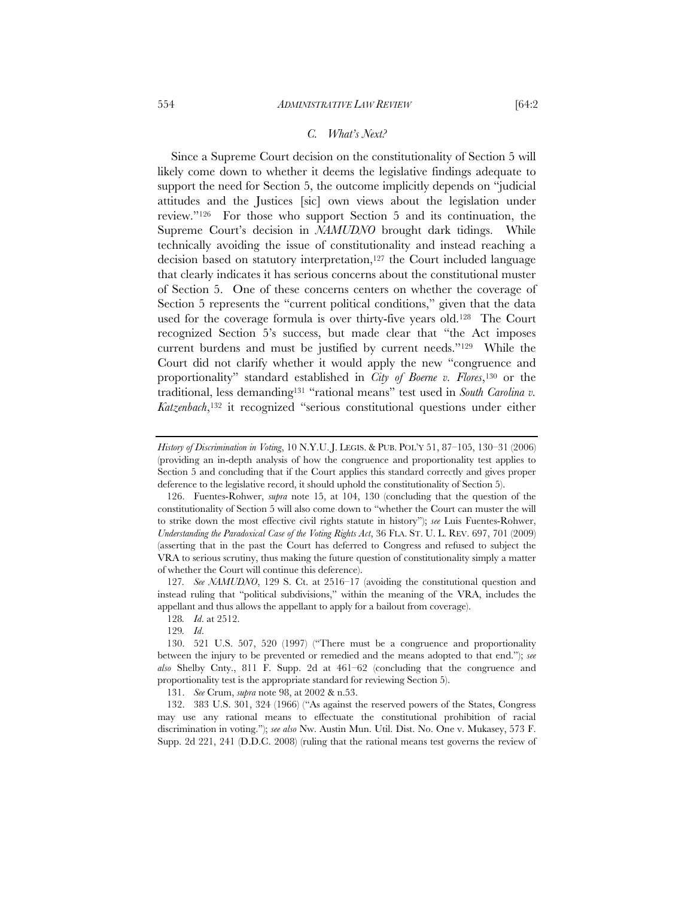Since a Supreme Court decision on the constitutionality of Section 5 will likely come down to whether it deems the legislative findings adequate to support the need for Section 5, the outcome implicitly depends on "judicial attitudes and the Justices [sic] own views about the legislation under review."126 For those who support Section 5 and its continuation, the Supreme Court's decision in *NAMUDNO* brought dark tidings. While technically avoiding the issue of constitutionality and instead reaching a decision based on statutory interpretation,<sup>127</sup> the Court included language that clearly indicates it has serious concerns about the constitutional muster of Section 5. One of these concerns centers on whether the coverage of Section 5 represents the "current political conditions," given that the data used for the coverage formula is over thirty-five years old.128 The Court recognized Section 5's success, but made clear that "the Act imposes current burdens and must be justified by current needs."129 While the Court did not clarify whether it would apply the new "congruence and proportionality" standard established in *City of Boerne v. Flores*,130 or the traditional, less demanding<sup>131</sup> "rational means" test used in *South Carolina v*. *Katzenbach*,132 it recognized "serious constitutional questions under either

127*. See NAMUDNO*, 129 S. Ct. at 2516–17 (avoiding the constitutional question and instead ruling that "political subdivisions," within the meaning of the VRA, includes the appellant and thus allows the appellant to apply for a bailout from coverage).

128*. Id*. at 2512.

129*. Id*.

131. *See* Crum, *supra* note 98, at 2002 & n.53.

*History of Discrimination in Voting*, 10 N.Y.U. J. LEGIS. & PUB. POL'Y 51, 87–105, 130–31 (2006) (providing an in-depth analysis of how the congruence and proportionality test applies to Section 5 and concluding that if the Court applies this standard correctly and gives proper deference to the legislative record, it should uphold the constitutionality of Section 5).

 <sup>126.</sup> Fuentes-Rohwer, *supra* note 15, at 104, 130 (concluding that the question of the constitutionality of Section 5 will also come down to "whether the Court can muster the will to strike down the most effective civil rights statute in history"); *see* Luis Fuentes-Rohwer, *Understanding the Paradoxical Case of the Voting Rights Act*, 36 FLA. ST. U. L. REV. 697, 701 (2009) (asserting that in the past the Court has deferred to Congress and refused to subject the VRA to serious scrutiny, thus making the future question of constitutionality simply a matter of whether the Court will continue this deference).

 <sup>130. 521</sup> U.S. 507, 520 (1997) ("There must be a congruence and proportionality between the injury to be prevented or remedied and the means adopted to that end."); *see also* Shelby Cnty., 811 F. Supp. 2d at 461–62 (concluding that the congruence and proportionality test is the appropriate standard for reviewing Section 5).

 <sup>132. 383</sup> U.S. 301, 324 (1966) ("As against the reserved powers of the States, Congress may use any rational means to effectuate the constitutional prohibition of racial discrimination in voting."); *see also* Nw. Austin Mun. Util. Dist. No. One v. Mukasey, 573 F. Supp. 2d 221, 241 (D.D.C. 2008) (ruling that the rational means test governs the review of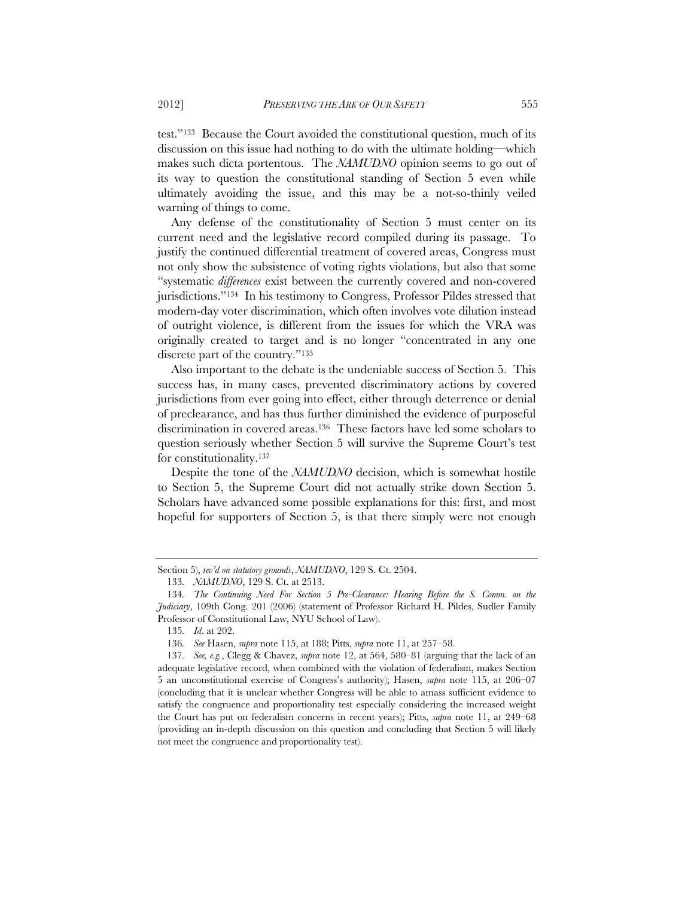test."133 Because the Court avoided the constitutional question, much of its discussion on this issue had nothing to do with the ultimate holding—which makes such dicta portentous. The *NAMUDNO* opinion seems to go out of its way to question the constitutional standing of Section 5 even while ultimately avoiding the issue, and this may be a not-so-thinly veiled warning of things to come.

Any defense of the constitutionality of Section 5 must center on its current need and the legislative record compiled during its passage. To justify the continued differential treatment of covered areas, Congress must not only show the subsistence of voting rights violations, but also that some "systematic *differences* exist between the currently covered and non-covered jurisdictions."134 In his testimony to Congress, Professor Pildes stressed that modern-day voter discrimination, which often involves vote dilution instead of outright violence, is different from the issues for which the VRA was originally created to target and is no longer "concentrated in any one discrete part of the country."135

Also important to the debate is the undeniable success of Section 5. This success has, in many cases, prevented discriminatory actions by covered jurisdictions from ever going into effect, either through deterrence or denial of preclearance, and has thus further diminished the evidence of purposeful discrimination in covered areas.136 These factors have led some scholars to question seriously whether Section 5 will survive the Supreme Court's test for constitutionality.137

Despite the tone of the *NAMUDNO* decision, which is somewhat hostile to Section 5, the Supreme Court did not actually strike down Section 5. Scholars have advanced some possible explanations for this: first, and most hopeful for supporters of Section 5, is that there simply were not enough

Section 5), *rev'd on statutory grounds*, *NAMUDNO*, 129 S. Ct. 2504.

<sup>133</sup>*. NAMUDNO*, 129 S. Ct. at 2513.

<sup>134</sup>*. The Continuing Need For Section 5 Pre-Clearance: Hearing Before the S. Comm. on the Judiciary*, 109th Cong. 201 (2006) (statement of Professor Richard H. Pildes, Sudler Family Professor of Constitutional Law, NYU School of Law).

<sup>135</sup>*. Id*. at 202.

<sup>136</sup>*. See* Hasen, *supra* note 115, at 188; Pitts, *supra* note 11, at 257–58.

<sup>137</sup>*. See, e.g.*, Clegg & Chavez, *supra* note 12, at 564, 580–81 (arguing that the lack of an adequate legislative record, when combined with the violation of federalism, makes Section 5 an unconstitutional exercise of Congress's authority); Hasen, *supra* note 115, at 206–07 (concluding that it is unclear whether Congress will be able to amass sufficient evidence to satisfy the congruence and proportionality test especially considering the increased weight the Court has put on federalism concerns in recent years); Pitts, *supra* note 11, at 249–68 (providing an in-depth discussion on this question and concluding that Section 5 will likely not meet the congruence and proportionality test).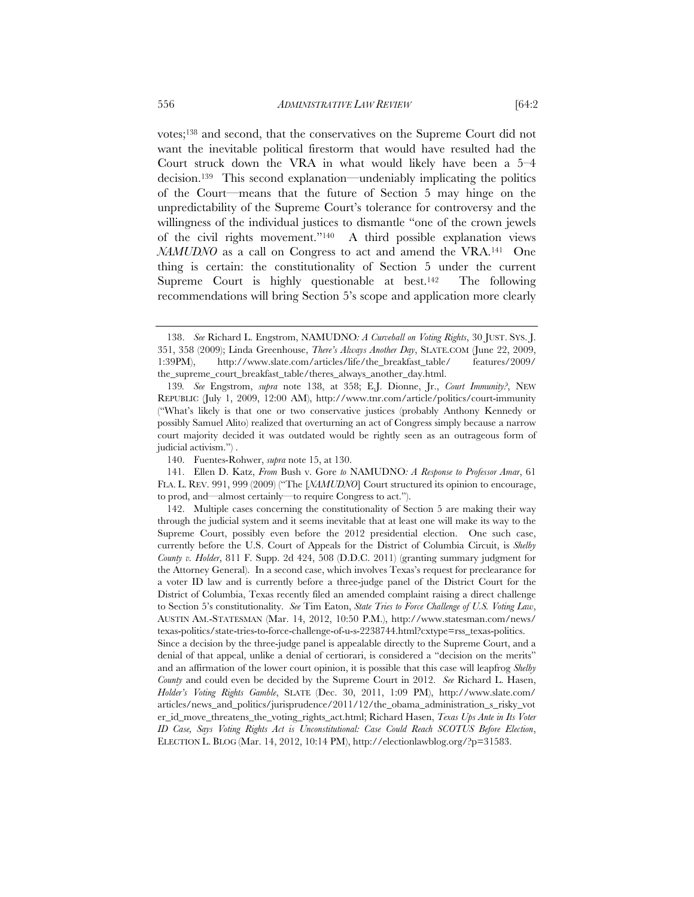votes;138 and second, that the conservatives on the Supreme Court did not want the inevitable political firestorm that would have resulted had the Court struck down the VRA in what would likely have been a 5–4 decision.139 This second explanation—undeniably implicating the politics of the Court—means that the future of Section 5 may hinge on the unpredictability of the Supreme Court's tolerance for controversy and the willingness of the individual justices to dismantle "one of the crown jewels of the civil rights movement."140 A third possible explanation views *NAMUDNO* as a call on Congress to act and amend the VRA.<sup>141</sup> One thing is certain: the constitutionality of Section 5 under the current Supreme Court is highly questionable at best.<sup>142</sup> The following recommendations will bring Section 5's scope and application more clearly

140. Fuentes-Rohwer, *supra* note 15, at 130.

 141. Ellen D. Katz, *From* Bush v. Gore *to* NAMUDNO*: A Response to Professor Amar*, 61 FLA. L. REV. 991, 999 (2009) ("The [*NAMUDNO*] Court structured its opinion to encourage, to prod, and—almost certainly—to require Congress to act.").

 <sup>138.</sup> *See* Richard L. Engstrom, NAMUDNO*: A Curveball on Voting Rights*, 30 JUST. SYS. J. 351, 358 (2009); Linda Greenhouse, *There's Always Another Day*, SLATE.COM (June 22, 2009, 1:39PM), http://www.slate.com/articles/life/the\_breakfast\_table/ features/2009/ the\_supreme\_court\_breakfast\_table/theres\_always\_another\_day.html.

<sup>139</sup>*. See* Engstrom, *supra* note 138, at 358; E.J. Dionne, Jr., *Court Immunity?*, NEW REPUBLIC (July 1, 2009, 12:00 AM), http://www.tnr.com/article/politics/court-immunity ("What's likely is that one or two conservative justices (probably Anthony Kennedy or possibly Samuel Alito) realized that overturning an act of Congress simply because a narrow court majority decided it was outdated would be rightly seen as an outrageous form of judicial activism.") .

 <sup>142.</sup> Multiple cases concerning the constitutionality of Section 5 are making their way through the judicial system and it seems inevitable that at least one will make its way to the Supreme Court, possibly even before the 2012 presidential election. One such case, currently before the U.S. Court of Appeals for the District of Columbia Circuit, is *Shelby County v. Holder*, 811 F. Supp. 2d 424, 508 (D.D.C. 2011) (granting summary judgment for the Attorney General). In a second case, which involves Texas's request for preclearance for a voter ID law and is currently before a three-judge panel of the District Court for the District of Columbia, Texas recently filed an amended complaint raising a direct challenge to Section 5's constitutionality. *See* Tim Eaton, *State Tries to Force Challenge of U.S. Voting Law*, AUSTIN AM.-STATESMAN (Mar. 14, 2012, 10:50 P.M.), http://www.statesman.com/news/ texas-politics/state-tries-to-force-challenge-of-u-s-2238744.html?cxtype=rss\_texas-politics.

Since a decision by the three-judge panel is appealable directly to the Supreme Court, and a denial of that appeal, unlike a denial of certiorari, is considered a "decision on the merits" and an affirmation of the lower court opinion, it is possible that this case will leapfrog *Shelby County* and could even be decided by the Supreme Court in 2012. *See* Richard L. Hasen, *Holder's Voting Rights Gamble*, SLATE (Dec. 30, 2011, 1:09 PM), http://www.slate.com/ articles/news\_and\_politics/jurisprudence/2011/12/the\_obama\_administration\_s\_risky\_vot er\_id\_move\_threatens\_the\_voting\_rights\_act.html; Richard Hasen, *Texas Ups Ante in Its Voter ID Case, Says Voting Rights Act is Unconstitutional: Case Could Reach SCOTUS Before Election*, ELECTION L. BLOG (Mar. 14, 2012, 10:14 PM), http://electionlawblog.org/?p=31583.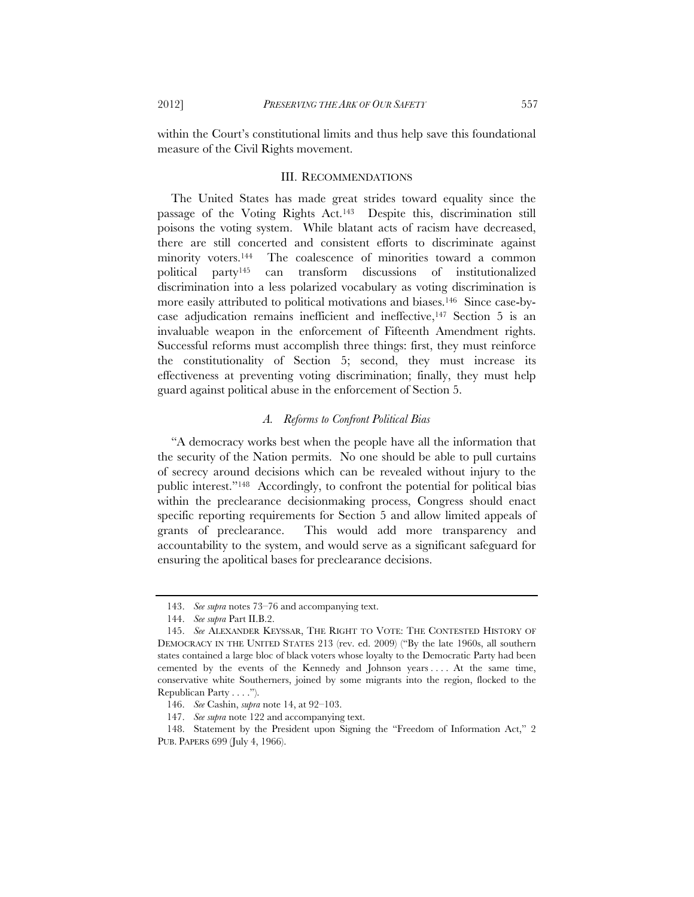within the Court's constitutional limits and thus help save this foundational measure of the Civil Rights movement.

#### III. RECOMMENDATIONS

The United States has made great strides toward equality since the passage of the Voting Rights Act.143 Despite this, discrimination still poisons the voting system. While blatant acts of racism have decreased, there are still concerted and consistent efforts to discriminate against minority voters.144 The coalescence of minorities toward a common political party145 can transform discussions of institutionalized discrimination into a less polarized vocabulary as voting discrimination is more easily attributed to political motivations and biases.146 Since case-bycase adjudication remains inefficient and ineffective,147 Section 5 is an invaluable weapon in the enforcement of Fifteenth Amendment rights. Successful reforms must accomplish three things: first, they must reinforce the constitutionality of Section 5; second, they must increase its effectiveness at preventing voting discrimination; finally, they must help guard against political abuse in the enforcement of Section 5.

# *A. Reforms to Confront Political Bias*

"A democracy works best when the people have all the information that the security of the Nation permits. No one should be able to pull curtains of secrecy around decisions which can be revealed without injury to the public interest."148 Accordingly, to confront the potential for political bias within the preclearance decisionmaking process, Congress should enact specific reporting requirements for Section 5 and allow limited appeals of grants of preclearance. This would add more transparency and accountability to the system, and would serve as a significant safeguard for ensuring the apolitical bases for preclearance decisions.

 <sup>143.</sup> *See supra* notes 73–76 and accompanying text.

 <sup>144.</sup> *See supra* Part II.B.2.

 <sup>145.</sup> *See* ALEXANDER KEYSSAR, THE RIGHT TO VOTE: THE CONTESTED HISTORY OF DEMOCRACY IN THE UNITED STATES 213 (rev. ed. 2009) ("By the late 1960s, all southern states contained a large bloc of black voters whose loyalty to the Democratic Party had been cemented by the events of the Kennedy and Johnson years . . . . At the same time, conservative white Southerners, joined by some migrants into the region, flocked to the Republican Party . . . .").

 <sup>146.</sup> *See* Cashin, *supra* note 14, at 92–103.

 <sup>147.</sup> *See supra* note 122 and accompanying text.

 <sup>148.</sup> Statement by the President upon Signing the "Freedom of Information Act," 2 PUB. PAPERS 699 (July 4, 1966).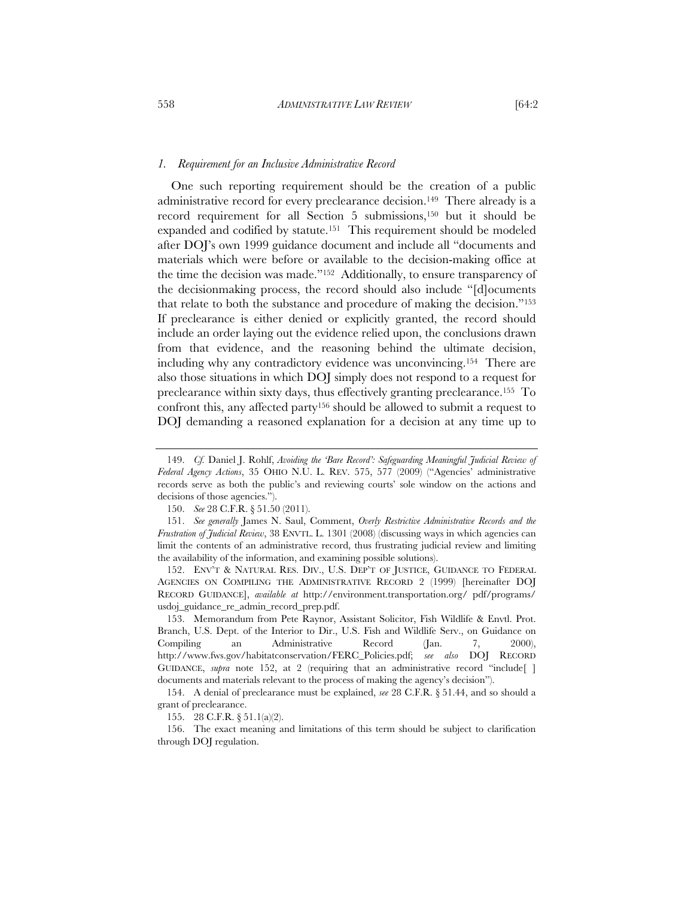#### *1. Requirement for an Inclusive Administrative Record*

One such reporting requirement should be the creation of a public administrative record for every preclearance decision.149 There already is a record requirement for all Section 5 submissions,150 but it should be expanded and codified by statute.151 This requirement should be modeled after DOJ's own 1999 guidance document and include all "documents and materials which were before or available to the decision-making office at the time the decision was made."152 Additionally, to ensure transparency of the decisionmaking process, the record should also include "[d]ocuments that relate to both the substance and procedure of making the decision."153 If preclearance is either denied or explicitly granted, the record should include an order laying out the evidence relied upon, the conclusions drawn from that evidence, and the reasoning behind the ultimate decision, including why any contradictory evidence was unconvincing.154 There are also those situations in which DOJ simply does not respond to a request for preclearance within sixty days, thus effectively granting preclearance.155 To confront this, any affected party156 should be allowed to submit a request to DOJ demanding a reasoned explanation for a decision at any time up to

150. *See* 28 C.F.R. § 51.50 (2011).

 152. ENV'T & NATURAL RES. DIV., U.S. DEP'T OF JUSTICE, GUIDANCE TO FEDERAL AGENCIES ON COMPILING THE ADMINISTRATIVE RECORD 2 (1999) [hereinafter DOJ RECORD GUIDANCE], *available at* http://environment.transportation.org/ pdf/programs/ usdoj\_guidance\_re\_admin\_record\_prep.pdf.

 153. Memorandum from Pete Raynor, Assistant Solicitor, Fish Wildlife & Envtl. Prot. Branch, U.S. Dept. of the Interior to Dir., U.S. Fish and Wildlife Serv., on Guidance on Compiling an Administrative Record (Jan. 7, 2000), http://www.fws.gov/habitatconservation/FERC\_Policies.pdf; *see also* DOJ RECORD GUIDANCE, *supra* note 152, at 2 (requiring that an administrative record "include"[] documents and materials relevant to the process of making the agency's decision").

 154. A denial of preclearance must be explained, *see* 28 C.F.R. § 51.44, and so should a grant of preclearance.

155. 28 C.F.R. § 51.1(a)(2).

 156. The exact meaning and limitations of this term should be subject to clarification through DOJ regulation.

 <sup>149.</sup> *Cf.* Daniel J. Rohlf, *Avoiding the 'Bare Record': Safeguarding Meaningful Judicial Review of Federal Agency Actions*, 35 OHIO N.U. L. REV. 575, 577 (2009) ("Agencies' administrative records serve as both the public's and reviewing courts' sole window on the actions and decisions of those agencies.").

 <sup>151.</sup> *See generally* James N. Saul, Comment, *Overly Restrictive Administrative Records and the Frustration of Judicial Review*, 38 ENVTL. L. 1301 (2008) (discussing ways in which agencies can limit the contents of an administrative record, thus frustrating judicial review and limiting the availability of the information, and examining possible solutions).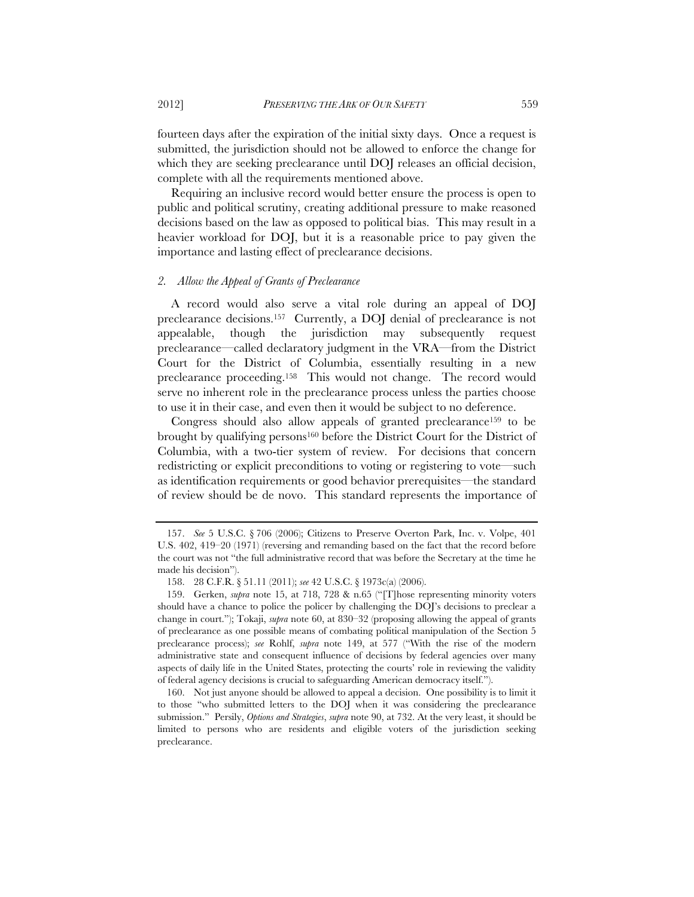fourteen days after the expiration of the initial sixty days. Once a request is submitted, the jurisdiction should not be allowed to enforce the change for which they are seeking preclearance until DOJ releases an official decision, complete with all the requirements mentioned above.

Requiring an inclusive record would better ensure the process is open to public and political scrutiny, creating additional pressure to make reasoned decisions based on the law as opposed to political bias. This may result in a heavier workload for DOJ, but it is a reasonable price to pay given the importance and lasting effect of preclearance decisions.

# *2. Allow the Appeal of Grants of Preclearance*

A record would also serve a vital role during an appeal of DOJ preclearance decisions.157 Currently, a DOJ denial of preclearance is not appealable, though the jurisdiction may subsequently request preclearance—called declaratory judgment in the VRA—from the District Court for the District of Columbia, essentially resulting in a new preclearance proceeding.158 This would not change. The record would serve no inherent role in the preclearance process unless the parties choose to use it in their case, and even then it would be subject to no deference.

Congress should also allow appeals of granted preclearance159 to be brought by qualifying persons160 before the District Court for the District of Columbia, with a two-tier system of review. For decisions that concern redistricting or explicit preconditions to voting or registering to vote—such as identification requirements or good behavior prerequisites—the standard of review should be de novo. This standard represents the importance of

 <sup>157.</sup> *See* 5 U.S.C. § 706 (2006); Citizens to Preserve Overton Park, Inc. v. Volpe, 401 U.S. 402, 419–20 (1971) (reversing and remanding based on the fact that the record before the court was not "the full administrative record that was before the Secretary at the time he made his decision").

 <sup>158. 28</sup> C.F.R. § 51.11 (2011); *see* 42 U.S.C. § 1973c(a) (2006).

 <sup>159.</sup> Gerken, *supra* note 15, at 718, 728 & n.65 ("[T]hose representing minority voters should have a chance to police the policer by challenging the DOJ's decisions to preclear a change in court."); Tokaji, *supra* note 60, at 830–32 (proposing allowing the appeal of grants of preclearance as one possible means of combating political manipulation of the Section 5 preclearance process); *see* Rohlf, *supra* note 149, at 577 ("With the rise of the modern administrative state and consequent influence of decisions by federal agencies over many aspects of daily life in the United States, protecting the courts' role in reviewing the validity of federal agency decisions is crucial to safeguarding American democracy itself.").

 <sup>160.</sup> Not just anyone should be allowed to appeal a decision. One possibility is to limit it to those "who submitted letters to the DOJ when it was considering the preclearance submission." Persily, *Options and Strategies*, *supra* note 90, at 732. At the very least, it should be limited to persons who are residents and eligible voters of the jurisdiction seeking preclearance.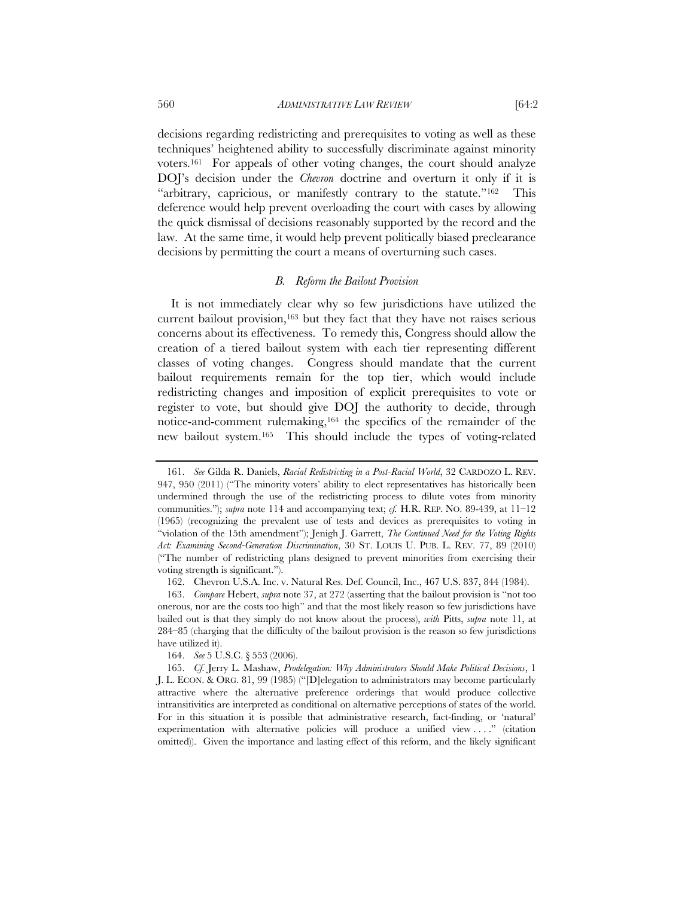decisions regarding redistricting and prerequisites to voting as well as these techniques' heightened ability to successfully discriminate against minority voters.161 For appeals of other voting changes, the court should analyze DOJ's decision under the *Chevron* doctrine and overturn it only if it is "arbitrary, capricious, or manifestly contrary to the statute."<sup>162</sup> This deference would help prevent overloading the court with cases by allowing the quick dismissal of decisions reasonably supported by the record and the law. At the same time, it would help prevent politically biased preclearance decisions by permitting the court a means of overturning such cases.

# *B. Reform the Bailout Provision*

It is not immediately clear why so few jurisdictions have utilized the current bailout provision,<sup>163</sup> but they fact that they have not raises serious concerns about its effectiveness. To remedy this, Congress should allow the creation of a tiered bailout system with each tier representing different classes of voting changes. Congress should mandate that the current bailout requirements remain for the top tier, which would include redistricting changes and imposition of explicit prerequisites to vote or register to vote, but should give DOJ the authority to decide, through notice-and-comment rulemaking,164 the specifics of the remainder of the new bailout system.165 This should include the types of voting-related

164. *See* 5 U.S.C. § 553 (2006).

 <sup>161.</sup> *See* Gilda R. Daniels, *Racial Redistricting in a Post-Racial World*, 32 CARDOZO L. REV. 947, 950 (2011) ("The minority voters' ability to elect representatives has historically been undermined through the use of the redistricting process to dilute votes from minority communities."); *supra* note 114 and accompanying text; *cf.* H.R. REP. NO. 89-439, at 11–12 (1965) (recognizing the prevalent use of tests and devices as prerequisites to voting in "violation of the 15th amendment"); Jenigh J. Garrett, *The Continued Need for the Voting Rights Act: Examining Second-Generation Discrimination*, 30 ST. LOUIS U. PUB. L. REV. 77, 89 (2010) ("The number of redistricting plans designed to prevent minorities from exercising their voting strength is significant.").

 <sup>162.</sup> Chevron U.S.A. Inc. v. Natural Res. Def. Council, Inc., 467 U.S. 837, 844 (1984).

 <sup>163.</sup> *Compare* Hebert, *supra* note 37, at 272 (asserting that the bailout provision is "not too onerous, nor are the costs too high" and that the most likely reason so few jurisdictions have bailed out is that they simply do not know about the process), *with* Pitts, *supra* note 11, at 284–85 (charging that the difficulty of the bailout provision is the reason so few jurisdictions have utilized it).

 <sup>165.</sup> *Cf.* Jerry L. Mashaw, *Prodelegation: Why Administrators Should Make Political Decisions*, 1 J. L. ECON. & ORG. 81, 99 (1985) ("[D]elegation to administrators may become particularly attractive where the alternative preference orderings that would produce collective intransitivities are interpreted as conditional on alternative perceptions of states of the world. For in this situation it is possible that administrative research, fact-finding, or 'natural' experimentation with alternative policies will produce a unified view . . . ." (citation omitted)). Given the importance and lasting effect of this reform, and the likely significant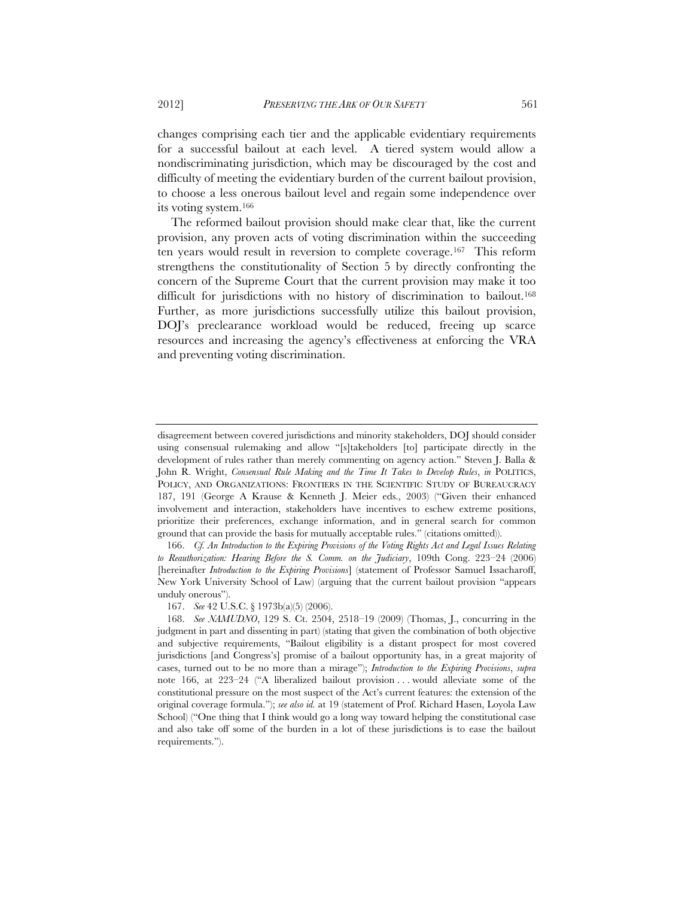changes comprising each tier and the applicable evidentiary requirements for a successful bailout at each level. A tiered system would allow a nondiscriminating jurisdiction, which may be discouraged by the cost and difficulty of meeting the evidentiary burden of the current bailout provision, to choose a less onerous bailout level and regain some independence over its voting system.166

The reformed bailout provision should make clear that, like the current provision, any proven acts of voting discrimination within the succeeding ten years would result in reversion to complete coverage.167 This reform strengthens the constitutionality of Section 5 by directly confronting the concern of the Supreme Court that the current provision may make it too difficult for jurisdictions with no history of discrimination to bailout.168 Further, as more jurisdictions successfully utilize this bailout provision, DOJ's preclearance workload would be reduced, freeing up scarce resources and increasing the agency's effectiveness at enforcing the VRA and preventing voting discrimination.

167. *See* 42 U.S.C. § 1973b(a)(5) (2006).

disagreement between covered jurisdictions and minority stakeholders, DOJ should consider using consensual rulemaking and allow "[s]takeholders [to] participate directly in the development of rules rather than merely commenting on agency action." Steven J. Balla & John R. Wright, *Consensual Rule Making and the Time It Takes to Develop Rules*, *in* POLITICS, POLICY, AND ORGANIZATIONS: FRONTIERS IN THE SCIENTIFIC STUDY OF BUREAUCRACY 187, 191 (George A Krause & Kenneth J. Meier eds., 2003) ("Given their enhanced involvement and interaction, stakeholders have incentives to eschew extreme positions, prioritize their preferences, exchange information, and in general search for common ground that can provide the basis for mutually acceptable rules." (citations omitted)).

 <sup>166.</sup> *Cf. An Introduction to the Expiring Provisions of the Voting Rights Act and Legal Issues Relating to Reauthorization: Hearing Before the S. Comm. on the Judiciary*, 109th Cong. 223–24 (2006) [hereinafter *Introduction to the Expiring Provisions*] (statement of Professor Samuel Issacharoff, New York University School of Law) (arguing that the current bailout provision "appears unduly onerous").

 <sup>168.</sup> *See NAMUDNO*, 129 S. Ct. 2504, 2518–19 (2009) (Thomas, J., concurring in the judgment in part and dissenting in part) (stating that given the combination of both objective and subjective requirements, "Bailout eligibility is a distant prospect for most covered jurisdictions [and Congress's] promise of a bailout opportunity has, in a great majority of cases, turned out to be no more than a mirage"); *Introduction to the Expiring Provisions*, *supra* note 166, at 223–24 ("A liberalized bailout provision . . . would alleviate some of the constitutional pressure on the most suspect of the Act's current features: the extension of the original coverage formula."); *see also id.* at 19 (statement of Prof. Richard Hasen, Loyola Law School) ("One thing that I think would go a long way toward helping the constitutional case and also take off some of the burden in a lot of these jurisdictions is to ease the bailout requirements.").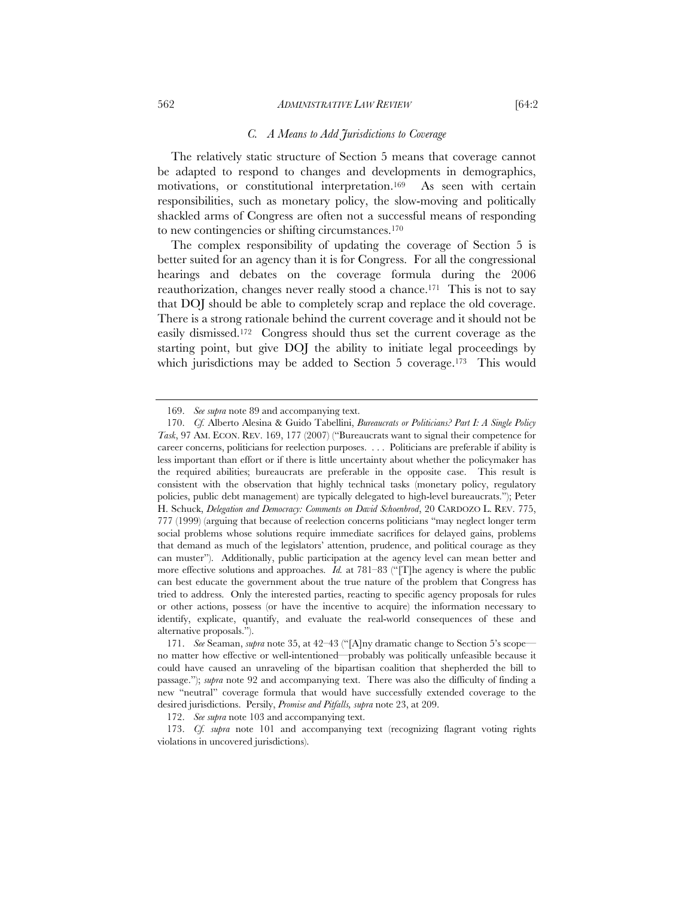#### 562 *ADMINISTRATIVE LAW REVIEW* [64:2

#### *C. A Means to Add Jurisdictions to Coverage*

The relatively static structure of Section 5 means that coverage cannot be adapted to respond to changes and developments in demographics, motivations, or constitutional interpretation.169 As seen with certain responsibilities, such as monetary policy, the slow-moving and politically shackled arms of Congress are often not a successful means of responding to new contingencies or shifting circumstances.170

The complex responsibility of updating the coverage of Section 5 is better suited for an agency than it is for Congress. For all the congressional hearings and debates on the coverage formula during the 2006 reauthorization, changes never really stood a chance.<sup>171</sup> This is not to say that DOJ should be able to completely scrap and replace the old coverage. There is a strong rationale behind the current coverage and it should not be easily dismissed.172 Congress should thus set the current coverage as the starting point, but give DOJ the ability to initiate legal proceedings by which jurisdictions may be added to Section 5 coverage.<sup>173</sup> This would

 <sup>169.</sup> *See supra* note 89 and accompanying text.

 <sup>170.</sup> *Cf.* Alberto Alesina & Guido Tabellini, *Bureaucrats or Politicians? Part I: A Single Policy Task*, 97 AM. ECON. REV. 169, 177 (2007) ("Bureaucrats want to signal their competence for career concerns, politicians for reelection purposes. . . . Politicians are preferable if ability is less important than effort or if there is little uncertainty about whether the policymaker has the required abilities; bureaucrats are preferable in the opposite case. This result is consistent with the observation that highly technical tasks (monetary policy, regulatory policies, public debt management) are typically delegated to high-level bureaucrats."); Peter H. Schuck, *Delegation and Democracy: Comments on David Schoenbrod*, 20 CARDOZO L. REV. 775, 777 (1999) (arguing that because of reelection concerns politicians "may neglect longer term social problems whose solutions require immediate sacrifices for delayed gains, problems that demand as much of the legislators' attention, prudence, and political courage as they can muster"). Additionally, public participation at the agency level can mean better and more effective solutions and approaches. *Id.* at 781–83 ("[T]he agency is where the public can best educate the government about the true nature of the problem that Congress has tried to address. Only the interested parties, reacting to specific agency proposals for rules or other actions, possess (or have the incentive to acquire) the information necessary to identify, explicate, quantify, and evaluate the real-world consequences of these and alternative proposals.").

 <sup>171.</sup> *See* Seaman, *supra* note 35, at 42–43 ("[A]ny dramatic change to Section 5's scope no matter how effective or well-intentioned—probably was politically unfeasible because it could have caused an unraveling of the bipartisan coalition that shepherded the bill to passage."); *supra* note 92 and accompanying text. There was also the difficulty of finding a new "neutral" coverage formula that would have successfully extended coverage to the desired jurisdictions. Persily, *Promise and Pitfalls, supra* note 23, at 209.

 <sup>172.</sup> *See supra* note 103 and accompanying text.

 <sup>173.</sup> *Cf. supra* note 101 and accompanying text (recognizing flagrant voting rights violations in uncovered jurisdictions).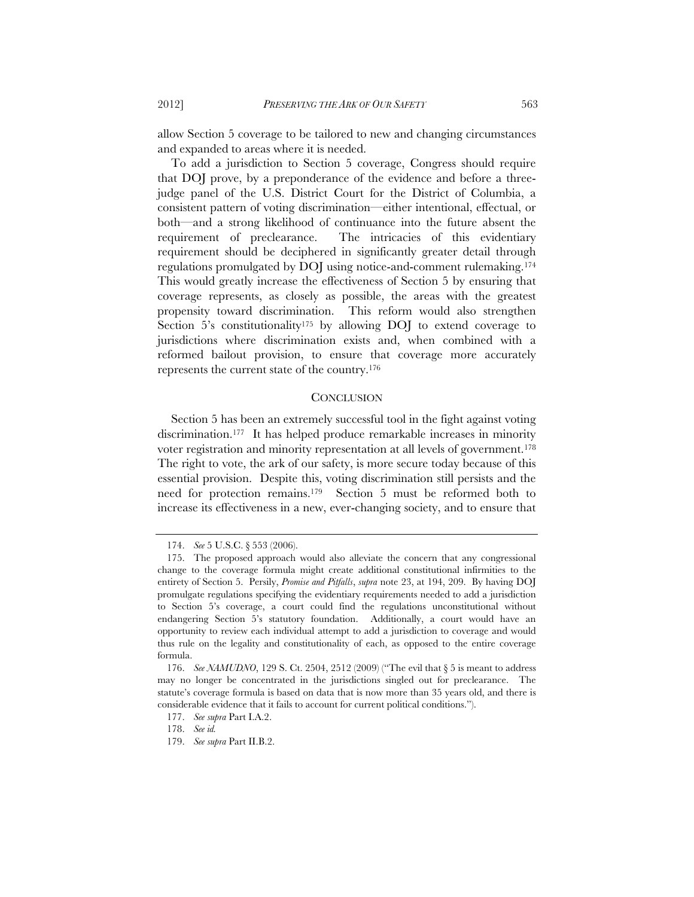allow Section 5 coverage to be tailored to new and changing circumstances and expanded to areas where it is needed.

To add a jurisdiction to Section 5 coverage, Congress should require that DOJ prove, by a preponderance of the evidence and before a threejudge panel of the U.S. District Court for the District of Columbia, a consistent pattern of voting discrimination—either intentional, effectual, or both—and a strong likelihood of continuance into the future absent the requirement of preclearance. The intricacies of this evidentiary requirement should be deciphered in significantly greater detail through regulations promulgated by DOJ using notice-and-comment rulemaking.174 This would greatly increase the effectiveness of Section 5 by ensuring that coverage represents, as closely as possible, the areas with the greatest propensity toward discrimination. This reform would also strengthen Section 5's constitutionality<sup>175</sup> by allowing DOJ to extend coverage to jurisdictions where discrimination exists and, when combined with a reformed bailout provision, to ensure that coverage more accurately represents the current state of the country.176

# **CONCLUSION**

Section 5 has been an extremely successful tool in the fight against voting discrimination.<sup>177</sup> It has helped produce remarkable increases in minority voter registration and minority representation at all levels of government.178 The right to vote, the ark of our safety, is more secure today because of this essential provision. Despite this, voting discrimination still persists and the need for protection remains.179 Section 5 must be reformed both to increase its effectiveness in a new, ever-changing society, and to ensure that

 <sup>174.</sup> *See* 5 U.S.C. § 553 (2006).

 <sup>175.</sup> The proposed approach would also alleviate the concern that any congressional change to the coverage formula might create additional constitutional infirmities to the entirety of Section 5. Persily, *Promise and Pitfalls*, *supra* note 23, at 194, 209. By having DOJ promulgate regulations specifying the evidentiary requirements needed to add a jurisdiction to Section 5's coverage, a court could find the regulations unconstitutional without endangering Section 5's statutory foundation. Additionally, a court would have an opportunity to review each individual attempt to add a jurisdiction to coverage and would thus rule on the legality and constitutionality of each, as opposed to the entire coverage formula.

 <sup>176.</sup> *See NAMUDNO*, 129 S. Ct. 2504, 2512 (2009) ("The evil that § 5 is meant to address may no longer be concentrated in the jurisdictions singled out for preclearance. The statute's coverage formula is based on data that is now more than 35 years old, and there is considerable evidence that it fails to account for current political conditions.").

 <sup>177.</sup> *See supra* Part I.A.2.

 <sup>178.</sup> *See id.* 

 <sup>179.</sup> *See supra* Part II.B.2.